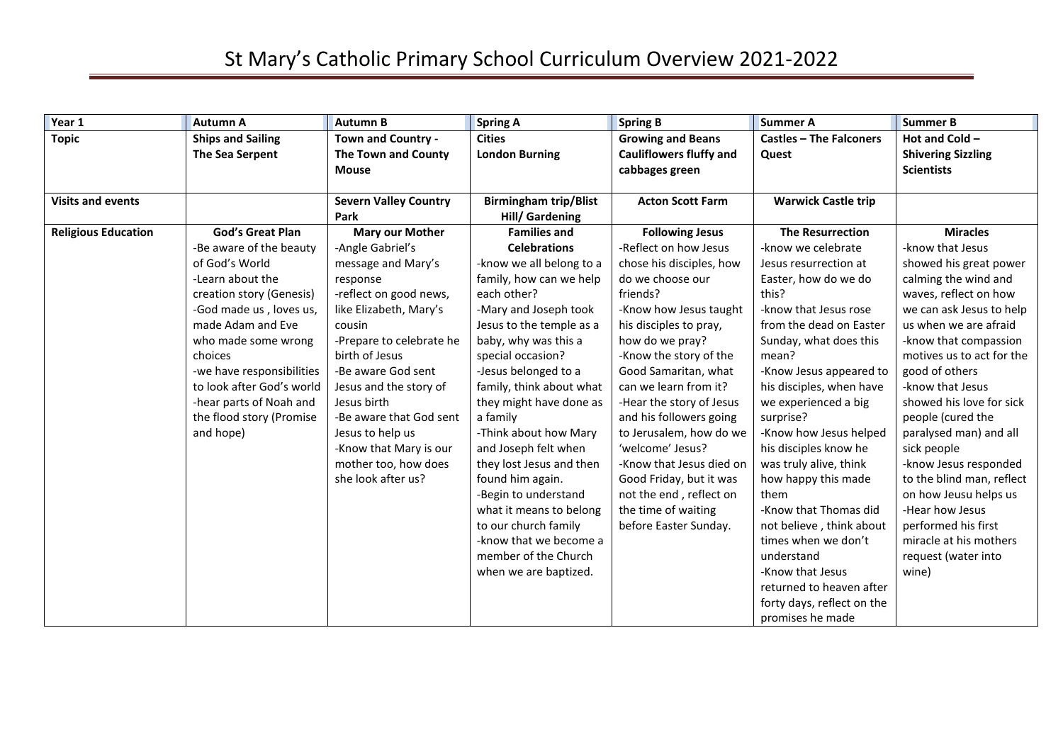| Year 1                     | <b>Autumn A</b>           | <b>Autumn B</b>              | <b>Spring A</b>              | <b>Spring B</b>                | <b>Summer A</b>                | <b>Summer B</b>           |
|----------------------------|---------------------------|------------------------------|------------------------------|--------------------------------|--------------------------------|---------------------------|
| <b>Topic</b>               | <b>Ships and Sailing</b>  | Town and Country -           | <b>Cities</b>                | <b>Growing and Beans</b>       | <b>Castles - The Falconers</b> | Hot and Cold -            |
|                            | The Sea Serpent           | The Town and County          | <b>London Burning</b>        | <b>Cauliflowers fluffy and</b> | Quest                          | <b>Shivering Sizzling</b> |
|                            |                           | <b>Mouse</b>                 |                              | cabbages green                 |                                | <b>Scientists</b>         |
|                            |                           |                              |                              |                                |                                |                           |
| <b>Visits and events</b>   |                           | <b>Severn Valley Country</b> | <b>Birmingham trip/Blist</b> | <b>Acton Scott Farm</b>        | <b>Warwick Castle trip</b>     |                           |
|                            |                           | Park                         | <b>Hill/ Gardening</b>       |                                |                                |                           |
| <b>Religious Education</b> | <b>God's Great Plan</b>   | <b>Mary our Mother</b>       | <b>Families and</b>          | <b>Following Jesus</b>         | <b>The Resurrection</b>        | <b>Miracles</b>           |
|                            | -Be aware of the beauty   | -Angle Gabriel's             | <b>Celebrations</b>          | -Reflect on how Jesus          | -know we celebrate             | -know that Jesus          |
|                            | of God's World            | message and Mary's           | -know we all belong to a     | chose his disciples, how       | Jesus resurrection at          | showed his great power    |
|                            | -Learn about the          | response                     | family, how can we help      | do we choose our               | Easter, how do we do           | calming the wind and      |
|                            | creation story (Genesis)  | -reflect on good news,       | each other?                  | friends?                       | this?                          | waves, reflect on how     |
|                            | -God made us, loves us,   | like Elizabeth, Mary's       | -Mary and Joseph took        | -Know how Jesus taught         | -know that Jesus rose          | we can ask Jesus to help  |
|                            | made Adam and Eve         | cousin                       | Jesus to the temple as a     | his disciples to pray,         | from the dead on Easter        | us when we are afraid     |
|                            | who made some wrong       | -Prepare to celebrate he     | baby, why was this a         | how do we pray?                | Sunday, what does this         | -know that compassion     |
|                            | choices                   | birth of Jesus               | special occasion?            | -Know the story of the         | mean?                          | motives us to act for the |
|                            | -we have responsibilities | -Be aware God sent           | -Jesus belonged to a         | Good Samaritan, what           | -Know Jesus appeared to        | good of others            |
|                            | to look after God's world | Jesus and the story of       | family, think about what     | can we learn from it?          | his disciples, when have       | -know that Jesus          |
|                            | -hear parts of Noah and   | Jesus birth                  | they might have done as      | -Hear the story of Jesus       | we experienced a big           | showed his love for sick  |
|                            | the flood story (Promise  | -Be aware that God sent      | a family                     | and his followers going        | surprise?                      | people (cured the         |
|                            | and hope)                 | Jesus to help us             | -Think about how Mary        | to Jerusalem, how do we        | -Know how Jesus helped         | paralysed man) and all    |
|                            |                           | -Know that Mary is our       | and Joseph felt when         | 'welcome' Jesus?               | his disciples know he          | sick people               |
|                            |                           | mother too, how does         | they lost Jesus and then     | -Know that Jesus died on       | was truly alive, think         | -know Jesus responded     |
|                            |                           | she look after us?           | found him again.             | Good Friday, but it was        | how happy this made            | to the blind man, reflect |
|                            |                           |                              | -Begin to understand         | not the end, reflect on        | them                           | on how Jeusu helps us     |
|                            |                           |                              | what it means to belong      | the time of waiting            | -Know that Thomas did          | -Hear how Jesus           |
|                            |                           |                              | to our church family         | before Easter Sunday.          | not believe, think about       | performed his first       |
|                            |                           |                              | -know that we become a       |                                | times when we don't            | miracle at his mothers    |
|                            |                           |                              | member of the Church         |                                | understand                     | request (water into       |
|                            |                           |                              | when we are baptized.        |                                | -Know that Jesus               | wine)                     |
|                            |                           |                              |                              |                                | returned to heaven after       |                           |
|                            |                           |                              |                              |                                | forty days, reflect on the     |                           |
|                            |                           |                              |                              |                                | promises he made               |                           |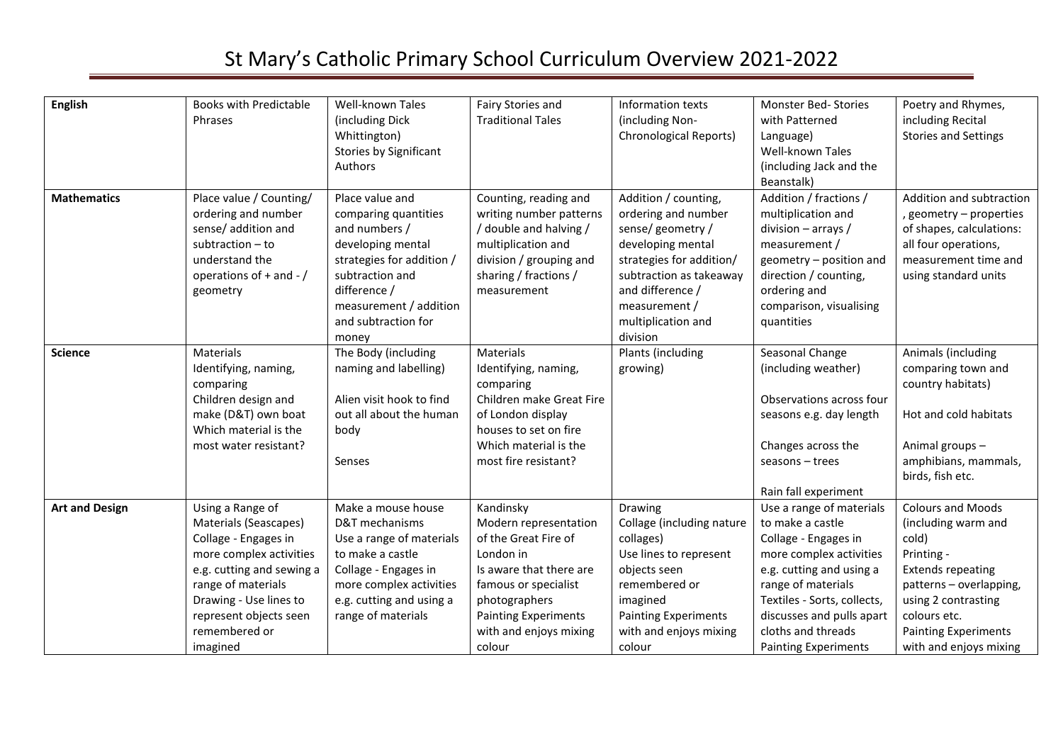| <b>English</b>        | <b>Books with Predictable</b><br>Phrases                                                                                                                                                                                         | Well-known Tales<br>(including Dick<br>Whittington)<br>Stories by Significant<br>Authors                                                                                                                | Fairy Stories and<br><b>Traditional Tales</b>                                                                                                                                                                  | Information texts<br>(including Non-<br>Chronological Reports)                                                                                                                                                    | Monster Bed-Stories<br>with Patterned<br>Language)<br><b>Well-known Tales</b><br>(including Jack and the<br>Beanstalk)                                                                                                                                             | Poetry and Rhymes,<br>including Recital<br><b>Stories and Settings</b>                                                                                                                                                        |
|-----------------------|----------------------------------------------------------------------------------------------------------------------------------------------------------------------------------------------------------------------------------|---------------------------------------------------------------------------------------------------------------------------------------------------------------------------------------------------------|----------------------------------------------------------------------------------------------------------------------------------------------------------------------------------------------------------------|-------------------------------------------------------------------------------------------------------------------------------------------------------------------------------------------------------------------|--------------------------------------------------------------------------------------------------------------------------------------------------------------------------------------------------------------------------------------------------------------------|-------------------------------------------------------------------------------------------------------------------------------------------------------------------------------------------------------------------------------|
| <b>Mathematics</b>    | Place value / Counting/<br>ordering and number<br>sense/ addition and<br>subtraction $-$ to<br>understand the<br>operations of $+$ and $-$ /<br>geometry                                                                         | Place value and<br>comparing quantities<br>and numbers /<br>developing mental<br>strategies for addition /<br>subtraction and<br>difference /<br>measurement / addition<br>and subtraction for<br>money | Counting, reading and<br>writing number patterns<br>/ double and halving /<br>multiplication and<br>division / grouping and<br>sharing / fractions /<br>measurement                                            | Addition / counting,<br>ordering and number<br>sense/geometry/<br>developing mental<br>strategies for addition/<br>subtraction as takeaway<br>and difference /<br>measurement /<br>multiplication and<br>division | Addition / fractions /<br>multiplication and<br>division $-$ arrays /<br>measurement /<br>geometry - position and<br>direction / counting,<br>ordering and<br>comparison, visualising<br>quantities                                                                | Addition and subtraction<br>, geometry - properties<br>of shapes, calculations:<br>all four operations,<br>measurement time and<br>using standard units                                                                       |
| <b>Science</b>        | Materials<br>Identifying, naming,<br>comparing<br>Children design and<br>make (D&T) own boat<br>Which material is the<br>most water resistant?                                                                                   | The Body (including<br>naming and labelling)<br>Alien visit hook to find<br>out all about the human<br>body<br>Senses                                                                                   | Materials<br>Identifying, naming,<br>comparing<br>Children make Great Fire<br>of London display<br>houses to set on fire<br>Which material is the<br>most fire resistant?                                      | Plants (including<br>growing)                                                                                                                                                                                     | Seasonal Change<br>(including weather)<br>Observations across four<br>seasons e.g. day length<br>Changes across the<br>seasons - trees<br>Rain fall experiment                                                                                                     | Animals (including<br>comparing town and<br>country habitats)<br>Hot and cold habitats<br>Animal groups-<br>amphibians, mammals,<br>birds, fish etc.                                                                          |
| <b>Art and Design</b> | Using a Range of<br>Materials (Seascapes)<br>Collage - Engages in<br>more complex activities<br>e.g. cutting and sewing a<br>range of materials<br>Drawing - Use lines to<br>represent objects seen<br>remembered or<br>imagined | Make a mouse house<br>D&T mechanisms<br>Use a range of materials<br>to make a castle<br>Collage - Engages in<br>more complex activities<br>e.g. cutting and using a<br>range of materials               | Kandinsky<br>Modern representation<br>of the Great Fire of<br>London in<br>Is aware that there are<br>famous or specialist<br>photographers<br><b>Painting Experiments</b><br>with and enjoys mixing<br>colour | Drawing<br>Collage (including nature<br>collages)<br>Use lines to represent<br>objects seen<br>remembered or<br>imagined<br><b>Painting Experiments</b><br>with and enjoys mixing<br>colour                       | Use a range of materials<br>to make a castle<br>Collage - Engages in<br>more complex activities<br>e.g. cutting and using a<br>range of materials<br>Textiles - Sorts, collects,<br>discusses and pulls apart<br>cloths and threads<br><b>Painting Experiments</b> | <b>Colours and Moods</b><br>(including warm and<br>cold)<br>Printing -<br><b>Extends repeating</b><br>patterns - overlapping,<br>using 2 contrasting<br>colours etc.<br><b>Painting Experiments</b><br>with and enjoys mixing |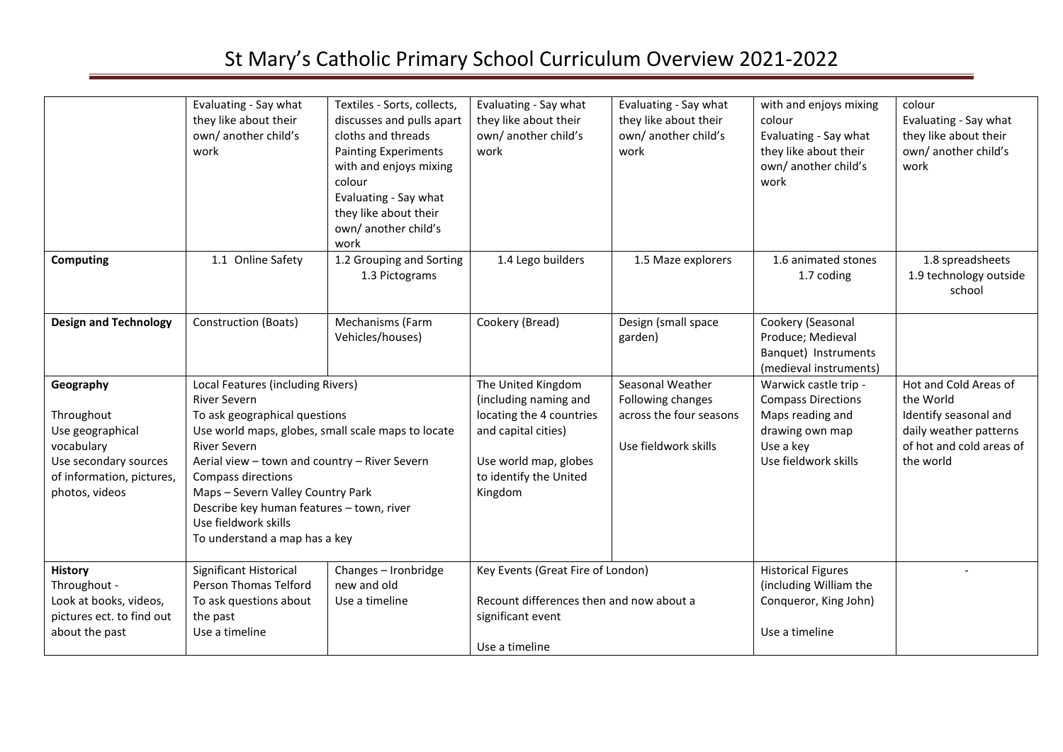|                                                                                                                                   | Evaluating - Say what<br>they like about their<br>own/ another child's<br>work                                                                                                                                                                                                                                                                                                                  | Textiles - Sorts, collects,<br>discusses and pulls apart<br>cloths and threads<br><b>Painting Experiments</b><br>with and enjoys mixing<br>colour<br>Evaluating - Say what<br>they like about their<br>own/ another child's<br>work | Evaluating - Say what<br>they like about their<br>own/another child's<br>work                                                                                | Evaluating - Say what<br>they like about their<br>own/ another child's<br>work           | with and enjoys mixing<br>colour<br>Evaluating - Say what<br>they like about their<br>own/ another child's<br>work             | colour<br>Evaluating - Say what<br>they like about their<br>own/ another child's<br>work                                       |
|-----------------------------------------------------------------------------------------------------------------------------------|-------------------------------------------------------------------------------------------------------------------------------------------------------------------------------------------------------------------------------------------------------------------------------------------------------------------------------------------------------------------------------------------------|-------------------------------------------------------------------------------------------------------------------------------------------------------------------------------------------------------------------------------------|--------------------------------------------------------------------------------------------------------------------------------------------------------------|------------------------------------------------------------------------------------------|--------------------------------------------------------------------------------------------------------------------------------|--------------------------------------------------------------------------------------------------------------------------------|
| Computing                                                                                                                         | 1.1 Online Safety                                                                                                                                                                                                                                                                                                                                                                               | 1.2 Grouping and Sorting<br>1.3 Pictograms                                                                                                                                                                                          | 1.4 Lego builders                                                                                                                                            | 1.5 Maze explorers                                                                       | 1.6 animated stones<br>1.7 coding                                                                                              | 1.8 spreadsheets<br>1.9 technology outside<br>school                                                                           |
| <b>Design and Technology</b>                                                                                                      | Construction (Boats)                                                                                                                                                                                                                                                                                                                                                                            | Mechanisms (Farm<br>Vehicles/houses)                                                                                                                                                                                                | Cookery (Bread)                                                                                                                                              | Design (small space<br>garden)                                                           | Cookery (Seasonal<br>Produce; Medieval<br>Banquet) Instruments<br>(medieval instruments)                                       |                                                                                                                                |
| Geography<br>Throughout<br>Use geographical<br>vocabulary<br>Use secondary sources<br>of information, pictures,<br>photos, videos | Local Features (including Rivers)<br><b>River Severn</b><br>To ask geographical questions<br>Use world maps, globes, small scale maps to locate<br><b>River Severn</b><br>Aerial view - town and country - River Severn<br><b>Compass directions</b><br>Maps - Severn Valley Country Park<br>Describe key human features - town, river<br>Use fieldwork skills<br>To understand a map has a key |                                                                                                                                                                                                                                     | The United Kingdom<br>(including naming and<br>locating the 4 countries<br>and capital cities)<br>Use world map, globes<br>to identify the United<br>Kingdom | Seasonal Weather<br>Following changes<br>across the four seasons<br>Use fieldwork skills | Warwick castle trip -<br><b>Compass Directions</b><br>Maps reading and<br>drawing own map<br>Use a key<br>Use fieldwork skills | Hot and Cold Areas of<br>the World<br>Identify seasonal and<br>daily weather patterns<br>of hot and cold areas of<br>the world |
| <b>History</b><br>Throughout -<br>Look at books, videos,<br>pictures ect. to find out<br>about the past                           | Significant Historical<br>Person Thomas Telford<br>To ask questions about<br>the past<br>Use a timeline                                                                                                                                                                                                                                                                                         | Changes - Ironbridge<br>new and old<br>Use a timeline                                                                                                                                                                               | Key Events (Great Fire of London)<br>Recount differences then and now about a<br>significant event<br>Use a timeline                                         |                                                                                          | <b>Historical Figures</b><br>(including William the<br>Conqueror, King John)<br>Use a timeline                                 |                                                                                                                                |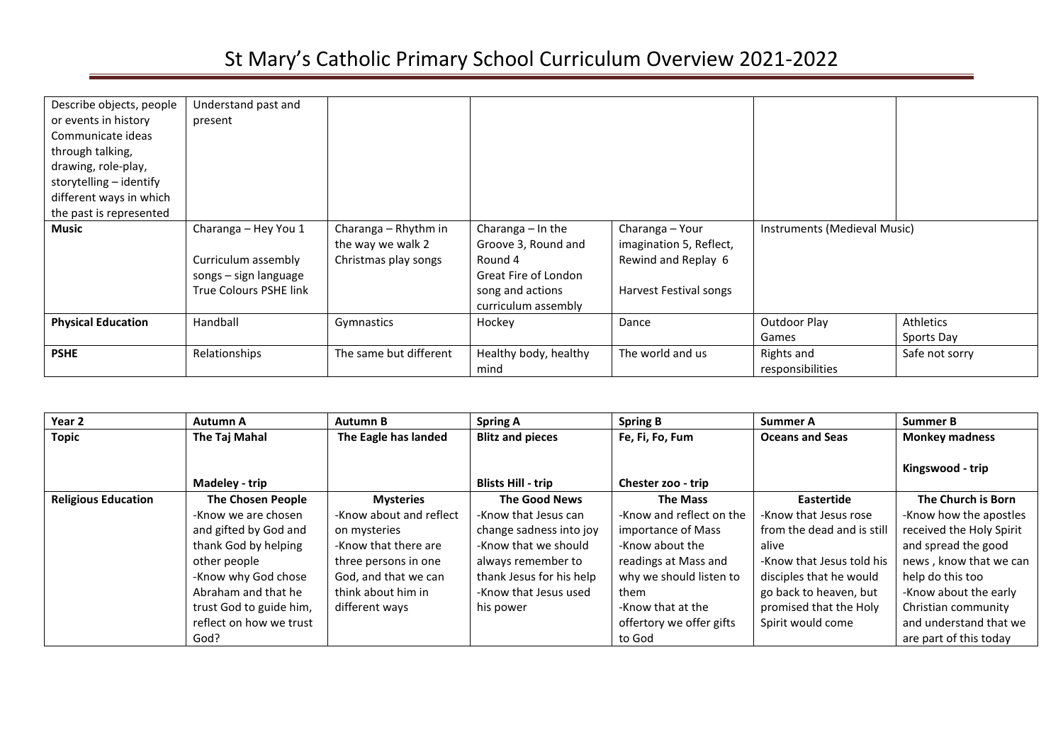| Describe objects, people<br>or events in history<br>Communicate ideas<br>through talking,<br>drawing, role-play,<br>storytelling - identify | Understand past and<br>present                                                                 |                                                                   |                                                                                                                          |                                                                                             |                              |                              |
|---------------------------------------------------------------------------------------------------------------------------------------------|------------------------------------------------------------------------------------------------|-------------------------------------------------------------------|--------------------------------------------------------------------------------------------------------------------------|---------------------------------------------------------------------------------------------|------------------------------|------------------------------|
| different ways in which<br>the past is represented                                                                                          |                                                                                                |                                                                   |                                                                                                                          |                                                                                             |                              |                              |
| <b>Music</b>                                                                                                                                | Charanga - Hey You 1<br>Curriculum assembly<br>songs - sign language<br>True Colours PSHE link | Charanga - Rhythm in<br>the way we walk 2<br>Christmas play songs | Charanga $-$ In the<br>Groove 3, Round and<br>Round 4<br>Great Fire of London<br>song and actions<br>curriculum assembly | Charanga - Your<br>imagination 5, Reflect,<br>Rewind and Replay 6<br>Harvest Festival songs | Instruments (Medieval Music) |                              |
| <b>Physical Education</b>                                                                                                                   | Handball                                                                                       | Gymnastics                                                        | Hockey                                                                                                                   | Dance                                                                                       | <b>Outdoor Play</b>          | Athletics                    |
| <b>PSHE</b>                                                                                                                                 | Relationships                                                                                  | The same but different                                            | Healthy body, healthy                                                                                                    | The world and us                                                                            | Games<br>Rights and          | Sports Day<br>Safe not sorry |
|                                                                                                                                             |                                                                                                |                                                                   | mind                                                                                                                     |                                                                                             | responsibilities             |                              |

| Year 2                     | Autumn A                 | <b>Autumn B</b>         | <b>Spring A</b>           | <b>Spring B</b>          | Summer A                   | <b>Summer B</b>          |
|----------------------------|--------------------------|-------------------------|---------------------------|--------------------------|----------------------------|--------------------------|
| <b>Topic</b>               | The Taj Mahal            | The Eagle has landed    | <b>Blitz and pieces</b>   | Fe, Fi, Fo, Fum          | <b>Oceans and Seas</b>     | <b>Monkey madness</b>    |
|                            | Madeley - trip           |                         | <b>Blists Hill - trip</b> | Chester zoo - trip       |                            | Kingswood - trip         |
| <b>Religious Education</b> | <b>The Chosen People</b> | <b>Mysteries</b>        | <b>The Good News</b>      | <b>The Mass</b>          | Eastertide                 | The Church is Born       |
|                            | -Know we are chosen      | -Know about and reflect | -Know that Jesus can      | -Know and reflect on the | -Know that Jesus rose      | -Know how the apostles   |
|                            | and gifted by God and    | on mysteries            | change sadness into joy   | importance of Mass       | from the dead and is still | received the Holy Spirit |
|                            | thank God by helping     | -Know that there are    | -Know that we should      | -Know about the          | alive                      | and spread the good      |
|                            | other people             | three persons in one    | always remember to        | readings at Mass and     | -Know that Jesus told his  | news, know that we can   |
|                            | -Know why God chose      | God, and that we can    | thank Jesus for his help  | why we should listen to  | disciples that he would    | help do this too         |
|                            | Abraham and that he      | think about him in      | -Know that Jesus used     | them                     | go back to heaven, but     | -Know about the early    |
|                            | trust God to guide him,  | different ways          | his power                 | -Know that at the        | promised that the Holy     | Christian community      |
|                            | reflect on how we trust  |                         |                           | offertory we offer gifts | Spirit would come          | and understand that we   |
|                            | God?                     |                         |                           | to God                   |                            | are part of this today   |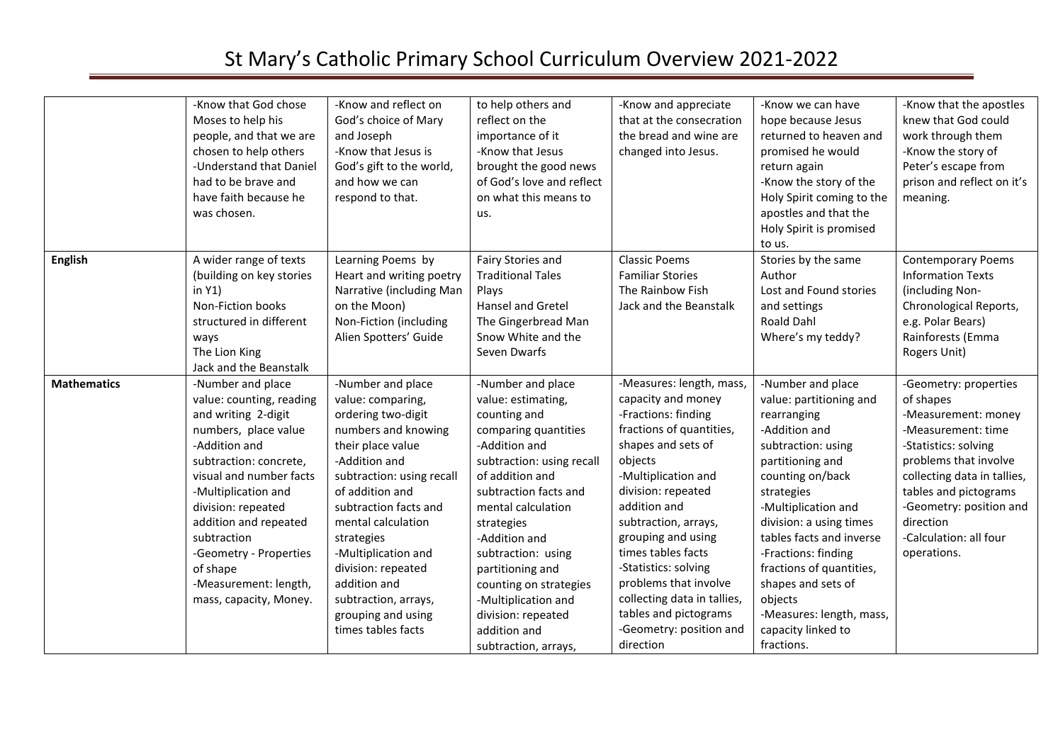|                    | -Know that God chose<br>Moses to help his<br>people, and that we are<br>chosen to help others<br>-Understand that Daniel<br>had to be brave and<br>have faith because he<br>was chosen.                                                                                                                                                          | -Know and reflect on<br>God's choice of Mary<br>and Joseph<br>-Know that Jesus is<br>God's gift to the world,<br>and how we can<br>respond to that.                                                                                                                                                                                                                     | to help others and<br>reflect on the<br>importance of it<br>-Know that Jesus<br>brought the good news<br>of God's love and reflect<br>on what this means to<br>us.                                                                                                                                                                                                                      | -Know and appreciate<br>that at the consecration<br>the bread and wine are<br>changed into Jesus.                                                                                                                                                                                                                                                                                                                    | -Know we can have<br>hope because Jesus<br>returned to heaven and<br>promised he would<br>return again<br>-Know the story of the<br>Holy Spirit coming to the<br>apostles and that the<br>Holy Spirit is promised<br>to us.                                                                                                                                                                | -Know that the apostles<br>knew that God could<br>work through them<br>-Know the story of<br>Peter's escape from<br>prison and reflect on it's<br>meaning.                                                                                                                |
|--------------------|--------------------------------------------------------------------------------------------------------------------------------------------------------------------------------------------------------------------------------------------------------------------------------------------------------------------------------------------------|-------------------------------------------------------------------------------------------------------------------------------------------------------------------------------------------------------------------------------------------------------------------------------------------------------------------------------------------------------------------------|-----------------------------------------------------------------------------------------------------------------------------------------------------------------------------------------------------------------------------------------------------------------------------------------------------------------------------------------------------------------------------------------|----------------------------------------------------------------------------------------------------------------------------------------------------------------------------------------------------------------------------------------------------------------------------------------------------------------------------------------------------------------------------------------------------------------------|--------------------------------------------------------------------------------------------------------------------------------------------------------------------------------------------------------------------------------------------------------------------------------------------------------------------------------------------------------------------------------------------|---------------------------------------------------------------------------------------------------------------------------------------------------------------------------------------------------------------------------------------------------------------------------|
| <b>English</b>     | A wider range of texts<br>(building on key stories<br>in $Y1)$<br>Non-Fiction books<br>structured in different<br>ways<br>The Lion King<br>Jack and the Beanstalk                                                                                                                                                                                | Learning Poems by<br>Heart and writing poetry<br>Narrative (including Man<br>on the Moon)<br>Non-Fiction (including<br>Alien Spotters' Guide                                                                                                                                                                                                                            | Fairy Stories and<br><b>Traditional Tales</b><br>Plays<br><b>Hansel and Gretel</b><br>The Gingerbread Man<br>Snow White and the<br>Seven Dwarfs                                                                                                                                                                                                                                         | <b>Classic Poems</b><br><b>Familiar Stories</b><br>The Rainbow Fish<br>Jack and the Beanstalk                                                                                                                                                                                                                                                                                                                        | Stories by the same<br>Author<br>Lost and Found stories<br>and settings<br><b>Roald Dahl</b><br>Where's my teddy?                                                                                                                                                                                                                                                                          | <b>Contemporary Poems</b><br><b>Information Texts</b><br>(including Non-<br>Chronological Reports,<br>e.g. Polar Bears)<br>Rainforests (Emma<br>Rogers Unit)                                                                                                              |
| <b>Mathematics</b> | -Number and place<br>value: counting, reading<br>and writing 2-digit<br>numbers, place value<br>-Addition and<br>subtraction: concrete,<br>visual and number facts<br>-Multiplication and<br>division: repeated<br>addition and repeated<br>subtraction<br>-Geometry - Properties<br>of shape<br>-Measurement: length,<br>mass, capacity, Money. | -Number and place<br>value: comparing,<br>ordering two-digit<br>numbers and knowing<br>their place value<br>-Addition and<br>subtraction: using recall<br>of addition and<br>subtraction facts and<br>mental calculation<br>strategies<br>-Multiplication and<br>division: repeated<br>addition and<br>subtraction, arrays,<br>grouping and using<br>times tables facts | -Number and place<br>value: estimating,<br>counting and<br>comparing quantities<br>-Addition and<br>subtraction: using recall<br>of addition and<br>subtraction facts and<br>mental calculation<br>strategies<br>-Addition and<br>subtraction: using<br>partitioning and<br>counting on strategies<br>-Multiplication and<br>division: repeated<br>addition and<br>subtraction, arrays, | -Measures: length, mass,<br>capacity and money<br>-Fractions: finding<br>fractions of quantities,<br>shapes and sets of<br>objects<br>-Multiplication and<br>division: repeated<br>addition and<br>subtraction, arrays,<br>grouping and using<br>times tables facts<br>-Statistics: solving<br>problems that involve<br>collecting data in tallies,<br>tables and pictograms<br>-Geometry: position and<br>direction | -Number and place<br>value: partitioning and<br>rearranging<br>-Addition and<br>subtraction: using<br>partitioning and<br>counting on/back<br>strategies<br>-Multiplication and<br>division: a using times<br>tables facts and inverse<br>-Fractions: finding<br>fractions of quantities,<br>shapes and sets of<br>objects<br>-Measures: length, mass,<br>capacity linked to<br>fractions. | -Geometry: properties<br>of shapes<br>-Measurement: money<br>-Measurement: time<br>-Statistics: solving<br>problems that involve<br>collecting data in tallies,<br>tables and pictograms<br>-Geometry: position and<br>direction<br>-Calculation: all four<br>operations. |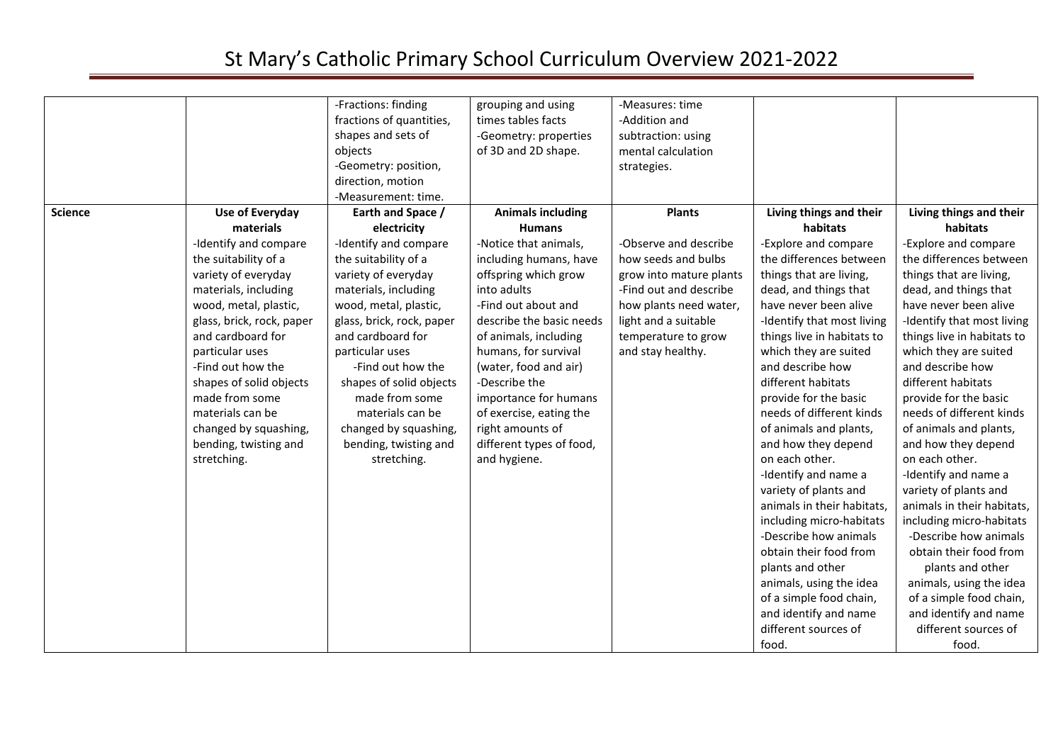|                |                                                                                                                                                                                                                                                                                                                                                                                   | -Fractions: finding<br>fractions of quantities,<br>shapes and sets of<br>objects<br>-Geometry: position,<br>direction, motion                                                                                                                                                                                                                                                                                | grouping and using<br>times tables facts<br>-Geometry: properties<br>of 3D and 2D shape.                                                                                                                                                                                                                                                                                                              | -Measures: time<br>-Addition and<br>subtraction: using<br>mental calculation<br>strategies.                                                                                                                      |                                                                                                                                                                                                                                                                                                                                                                                                                                                                                                                                                                                                                                         |                                                                                                                                                                                                                                                                                                                                                                                                                                                                                                                                                                                                                                         |
|----------------|-----------------------------------------------------------------------------------------------------------------------------------------------------------------------------------------------------------------------------------------------------------------------------------------------------------------------------------------------------------------------------------|--------------------------------------------------------------------------------------------------------------------------------------------------------------------------------------------------------------------------------------------------------------------------------------------------------------------------------------------------------------------------------------------------------------|-------------------------------------------------------------------------------------------------------------------------------------------------------------------------------------------------------------------------------------------------------------------------------------------------------------------------------------------------------------------------------------------------------|------------------------------------------------------------------------------------------------------------------------------------------------------------------------------------------------------------------|-----------------------------------------------------------------------------------------------------------------------------------------------------------------------------------------------------------------------------------------------------------------------------------------------------------------------------------------------------------------------------------------------------------------------------------------------------------------------------------------------------------------------------------------------------------------------------------------------------------------------------------------|-----------------------------------------------------------------------------------------------------------------------------------------------------------------------------------------------------------------------------------------------------------------------------------------------------------------------------------------------------------------------------------------------------------------------------------------------------------------------------------------------------------------------------------------------------------------------------------------------------------------------------------------|
| <b>Science</b> | Use of Everyday<br>materials<br>-Identify and compare<br>the suitability of a<br>variety of everyday<br>materials, including<br>wood, metal, plastic,<br>glass, brick, rock, paper<br>and cardboard for<br>particular uses<br>-Find out how the<br>shapes of solid objects<br>made from some<br>materials can be<br>changed by squashing,<br>bending, twisting and<br>stretching. | -Measurement: time.<br>Earth and Space /<br>electricity<br>-Identify and compare<br>the suitability of a<br>variety of everyday<br>materials, including<br>wood, metal, plastic,<br>glass, brick, rock, paper<br>and cardboard for<br>particular uses<br>-Find out how the<br>shapes of solid objects<br>made from some<br>materials can be<br>changed by squashing,<br>bending, twisting and<br>stretching. | <b>Animals including</b><br><b>Humans</b><br>-Notice that animals,<br>including humans, have<br>offspring which grow<br>into adults<br>-Find out about and<br>describe the basic needs<br>of animals, including<br>humans, for survival<br>(water, food and air)<br>-Describe the<br>importance for humans<br>of exercise, eating the<br>right amounts of<br>different types of food,<br>and hygiene. | <b>Plants</b><br>-Observe and describe<br>how seeds and bulbs<br>grow into mature plants<br>-Find out and describe<br>how plants need water,<br>light and a suitable<br>temperature to grow<br>and stay healthy. | Living things and their<br>habitats<br>-Explore and compare<br>the differences between<br>things that are living,<br>dead, and things that<br>have never been alive<br>-Identify that most living<br>things live in habitats to<br>which they are suited<br>and describe how<br>different habitats<br>provide for the basic<br>needs of different kinds<br>of animals and plants,<br>and how they depend<br>on each other.<br>-Identify and name a<br>variety of plants and<br>animals in their habitats,<br>including micro-habitats<br>-Describe how animals<br>obtain their food from<br>plants and other<br>animals, using the idea | Living things and their<br>habitats<br>-Explore and compare<br>the differences between<br>things that are living,<br>dead, and things that<br>have never been alive<br>-Identify that most living<br>things live in habitats to<br>which they are suited<br>and describe how<br>different habitats<br>provide for the basic<br>needs of different kinds<br>of animals and plants,<br>and how they depend<br>on each other.<br>-Identify and name a<br>variety of plants and<br>animals in their habitats,<br>including micro-habitats<br>-Describe how animals<br>obtain their food from<br>plants and other<br>animals, using the idea |
|                |                                                                                                                                                                                                                                                                                                                                                                                   |                                                                                                                                                                                                                                                                                                                                                                                                              |                                                                                                                                                                                                                                                                                                                                                                                                       |                                                                                                                                                                                                                  | of a simple food chain,<br>and identify and name<br>different sources of<br>food.                                                                                                                                                                                                                                                                                                                                                                                                                                                                                                                                                       | of a simple food chain,<br>and identify and name<br>different sources of<br>food.                                                                                                                                                                                                                                                                                                                                                                                                                                                                                                                                                       |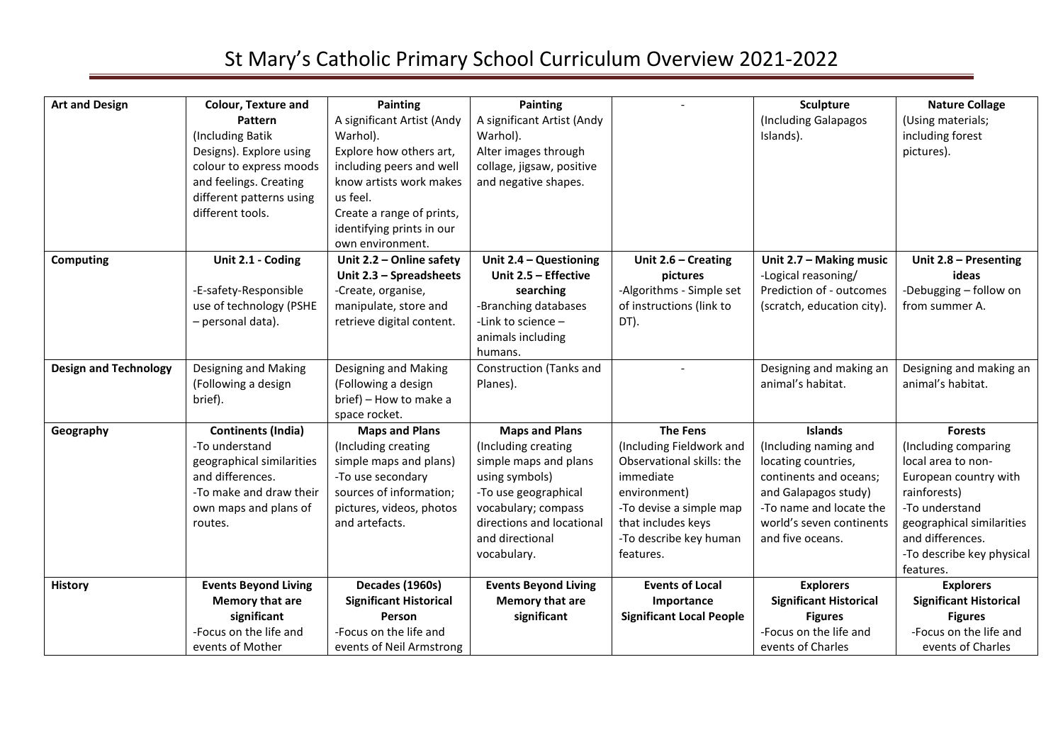| <b>Art and Design</b>        | <b>Colour, Texture and</b>  | <b>Painting</b>               | <b>Painting</b>                |                                 | <b>Sculpture</b>              | <b>Nature Collage</b>         |
|------------------------------|-----------------------------|-------------------------------|--------------------------------|---------------------------------|-------------------------------|-------------------------------|
|                              | Pattern                     | A significant Artist (Andy    | A significant Artist (Andy     |                                 | (Including Galapagos          | (Using materials;             |
|                              | (Including Batik            | Warhol).                      | Warhol).                       |                                 | Islands).                     | including forest              |
|                              | Designs). Explore using     | Explore how others art,       | Alter images through           |                                 |                               | pictures).                    |
|                              | colour to express moods     | including peers and well      | collage, jigsaw, positive      |                                 |                               |                               |
|                              | and feelings. Creating      | know artists work makes       | and negative shapes.           |                                 |                               |                               |
|                              | different patterns using    | us feel.                      |                                |                                 |                               |                               |
|                              | different tools.            | Create a range of prints,     |                                |                                 |                               |                               |
|                              |                             | identifying prints in our     |                                |                                 |                               |                               |
|                              |                             | own environment.              |                                |                                 |                               |                               |
| Computing                    | Unit 2.1 - Coding           | Unit 2.2 - Online safety      | Unit 2.4 - Questioning         | Unit $2.6$ – Creating           | Unit 2.7 - Making music       | Unit 2.8 - Presenting         |
|                              |                             | Unit 2.3 - Spreadsheets       | Unit 2.5 - Effective           | pictures                        | -Logical reasoning/           | ideas                         |
|                              | -E-safety-Responsible       | -Create, organise,            | searching                      | -Algorithms - Simple set        | Prediction of - outcomes      | -Debugging - follow on        |
|                              | use of technology (PSHE     | manipulate, store and         | -Branching databases           | of instructions (link to        | (scratch, education city).    | from summer A.                |
|                              | - personal data).           | retrieve digital content.     | -Link to science -             | DT).                            |                               |                               |
|                              |                             |                               | animals including              |                                 |                               |                               |
|                              |                             |                               | humans.                        |                                 |                               |                               |
| <b>Design and Technology</b> | Designing and Making        | Designing and Making          | <b>Construction (Tanks and</b> |                                 | Designing and making an       | Designing and making an       |
|                              | (Following a design         | (Following a design           | Planes).                       |                                 | animal's habitat.             | animal's habitat.             |
|                              | brief).                     | brief) - How to make a        |                                |                                 |                               |                               |
|                              |                             | space rocket.                 |                                |                                 |                               |                               |
| Geography                    | <b>Continents (India)</b>   | <b>Maps and Plans</b>         | <b>Maps and Plans</b>          | <b>The Fens</b>                 | <b>Islands</b>                | <b>Forests</b>                |
|                              | -To understand              | (Including creating           | (Including creating            | (Including Fieldwork and        | (Including naming and         | (Including comparing          |
|                              | geographical similarities   | simple maps and plans)        | simple maps and plans          | Observational skills: the       | locating countries,           | local area to non-            |
|                              | and differences.            | -To use secondary             | using symbols)                 | immediate                       | continents and oceans;        | European country with         |
|                              | -To make and draw their     | sources of information;       | -To use geographical           | environment)                    | and Galapagos study)          | rainforests)                  |
|                              | own maps and plans of       | pictures, videos, photos      | vocabulary; compass            | -To devise a simple map         | -To name and locate the       | -To understand                |
|                              | routes.                     | and artefacts.                | directions and locational      | that includes keys              | world's seven continents      | geographical similarities     |
|                              |                             |                               | and directional                | -To describe key human          | and five oceans.              | and differences.              |
|                              |                             |                               | vocabulary.                    | features.                       |                               | -To describe key physical     |
|                              |                             |                               |                                |                                 |                               | features.                     |
| <b>History</b>               | <b>Events Beyond Living</b> | Decades (1960s)               | <b>Events Beyond Living</b>    | <b>Events of Local</b>          | <b>Explorers</b>              | <b>Explorers</b>              |
|                              | Memory that are             | <b>Significant Historical</b> | Memory that are                | Importance                      | <b>Significant Historical</b> | <b>Significant Historical</b> |
|                              | significant                 | Person                        | significant                    | <b>Significant Local People</b> | <b>Figures</b>                | <b>Figures</b>                |
|                              | -Focus on the life and      | -Focus on the life and        |                                |                                 | -Focus on the life and        | -Focus on the life and        |
|                              | events of Mother            | events of Neil Armstrong      |                                |                                 | events of Charles             | events of Charles             |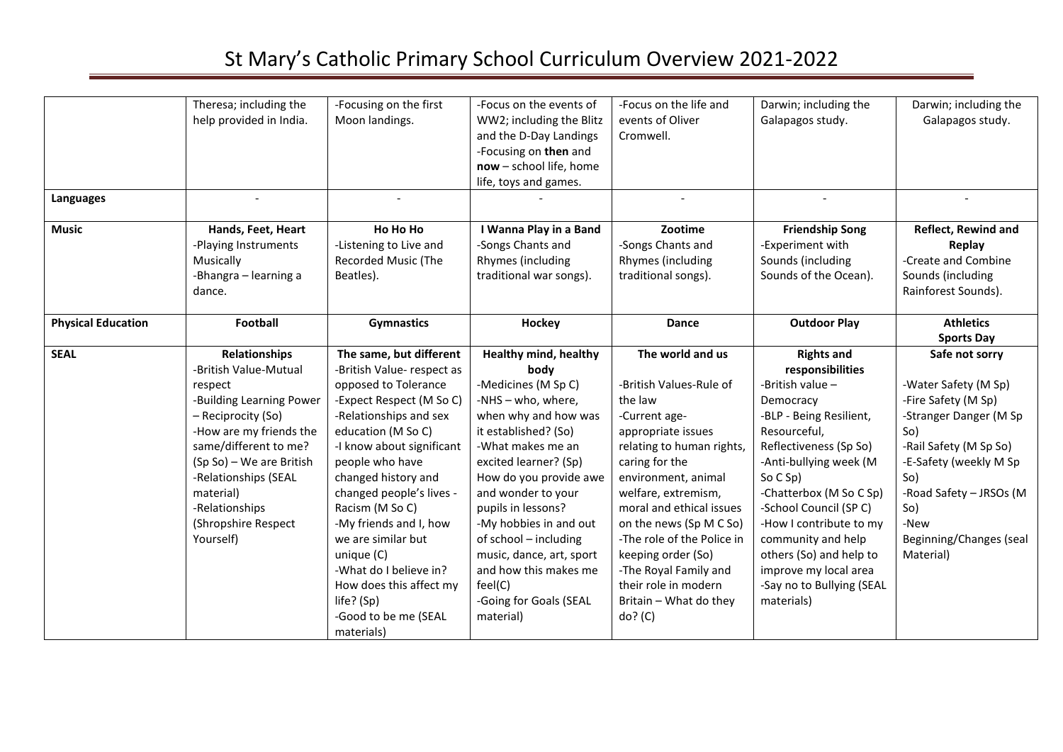|                           | Theresa; including the<br>help provided in India.                                                                                                                                                                                                                                     | -Focusing on the first<br>Moon landings.                                                                                                                                                                                                                                                                                                                                                                                                               | -Focus on the events of<br>WW2; including the Blitz<br>and the D-Day Landings<br>-Focusing on then and<br>now - school life, home<br>life, toys and games.                                                                                                                                                                                                                                                      | -Focus on the life and<br>events of Oliver<br>Cromwell.                                                                                                                                                                                                                                                                                                                                     | Darwin; including the<br>Galapagos study.                                                                                                                                                                                                                                                                                                                                             | Darwin; including the<br>Galapagos study.                                                                                                                                                                                                   |
|---------------------------|---------------------------------------------------------------------------------------------------------------------------------------------------------------------------------------------------------------------------------------------------------------------------------------|--------------------------------------------------------------------------------------------------------------------------------------------------------------------------------------------------------------------------------------------------------------------------------------------------------------------------------------------------------------------------------------------------------------------------------------------------------|-----------------------------------------------------------------------------------------------------------------------------------------------------------------------------------------------------------------------------------------------------------------------------------------------------------------------------------------------------------------------------------------------------------------|---------------------------------------------------------------------------------------------------------------------------------------------------------------------------------------------------------------------------------------------------------------------------------------------------------------------------------------------------------------------------------------------|---------------------------------------------------------------------------------------------------------------------------------------------------------------------------------------------------------------------------------------------------------------------------------------------------------------------------------------------------------------------------------------|---------------------------------------------------------------------------------------------------------------------------------------------------------------------------------------------------------------------------------------------|
| <b>Languages</b>          |                                                                                                                                                                                                                                                                                       | $\sim$                                                                                                                                                                                                                                                                                                                                                                                                                                                 |                                                                                                                                                                                                                                                                                                                                                                                                                 |                                                                                                                                                                                                                                                                                                                                                                                             |                                                                                                                                                                                                                                                                                                                                                                                       |                                                                                                                                                                                                                                             |
| <b>Music</b>              | Hands, Feet, Heart<br>-Playing Instruments                                                                                                                                                                                                                                            | Ho Ho Ho<br>-Listening to Live and                                                                                                                                                                                                                                                                                                                                                                                                                     | I Wanna Play in a Band<br>-Songs Chants and                                                                                                                                                                                                                                                                                                                                                                     | Zootime<br>-Songs Chants and                                                                                                                                                                                                                                                                                                                                                                | <b>Friendship Song</b><br>-Experiment with                                                                                                                                                                                                                                                                                                                                            | <b>Reflect, Rewind and</b><br>Replay                                                                                                                                                                                                        |
|                           | Musically<br>-Bhangra - learning a<br>dance.                                                                                                                                                                                                                                          | Recorded Music (The<br>Beatles).                                                                                                                                                                                                                                                                                                                                                                                                                       | Rhymes (including<br>traditional war songs).                                                                                                                                                                                                                                                                                                                                                                    | Rhymes (including<br>traditional songs).                                                                                                                                                                                                                                                                                                                                                    | Sounds (including<br>Sounds of the Ocean).                                                                                                                                                                                                                                                                                                                                            | -Create and Combine<br>Sounds (including<br>Rainforest Sounds).                                                                                                                                                                             |
| <b>Physical Education</b> | Football                                                                                                                                                                                                                                                                              | <b>Gymnastics</b>                                                                                                                                                                                                                                                                                                                                                                                                                                      | Hockey                                                                                                                                                                                                                                                                                                                                                                                                          | <b>Dance</b>                                                                                                                                                                                                                                                                                                                                                                                | <b>Outdoor Play</b>                                                                                                                                                                                                                                                                                                                                                                   | <b>Athletics</b><br><b>Sports Day</b>                                                                                                                                                                                                       |
| <b>SEAL</b>               | <b>Relationships</b><br>-British Value-Mutual<br>respect<br>-Building Learning Power<br>- Reciprocity (So)<br>-How are my friends the<br>same/different to me?<br>(Sp So) - We are British<br>-Relationships (SEAL<br>material)<br>-Relationships<br>(Shropshire Respect<br>Yourself) | The same, but different<br>-British Value- respect as<br>opposed to Tolerance<br>-Expect Respect (M So C)<br>-Relationships and sex<br>education (M So C)<br>-I know about significant<br>people who have<br>changed history and<br>changed people's lives -<br>Racism (M So C)<br>-My friends and I, how<br>we are similar but<br>unique (C)<br>-What do I believe in?<br>How does this affect my<br>life? (Sp)<br>-Good to be me (SEAL<br>materials) | <b>Healthy mind, healthy</b><br>body<br>-Medicines (M Sp C)<br>-NHS - who, where,<br>when why and how was<br>it established? (So)<br>-What makes me an<br>excited learner? (Sp)<br>How do you provide awe<br>and wonder to your<br>pupils in lessons?<br>-My hobbies in and out<br>of school - including<br>music, dance, art, sport<br>and how this makes me<br>feel(C)<br>-Going for Goals (SEAL<br>material) | The world and us<br>-British Values-Rule of<br>the law<br>-Current age-<br>appropriate issues<br>relating to human rights,<br>caring for the<br>environment, animal<br>welfare, extremism,<br>moral and ethical issues<br>on the news (Sp M C So)<br>-The role of the Police in<br>keeping order (So)<br>-The Royal Family and<br>their role in modern<br>Britain - What do they<br>do? (C) | <b>Rights and</b><br>responsibilities<br>-British value -<br>Democracy<br>-BLP - Being Resilient,<br>Resourceful,<br>Reflectiveness (Sp So)<br>-Anti-bullying week (M<br>So C Sp<br>-Chatterbox (M So C Sp)<br>-School Council (SP C)<br>-How I contribute to my<br>community and help<br>others (So) and help to<br>improve my local area<br>-Say no to Bullying (SEAL<br>materials) | Safe not sorry<br>-Water Safety (M Sp)<br>-Fire Safety (M Sp)<br>-Stranger Danger (M Sp<br>So)<br>-Rail Safety (M Sp So)<br>-E-Safety (weekly M Sp<br>So)<br>-Road Safety - JRSOs (M<br>So)<br>-New<br>Beginning/Changes (seal<br>Material) |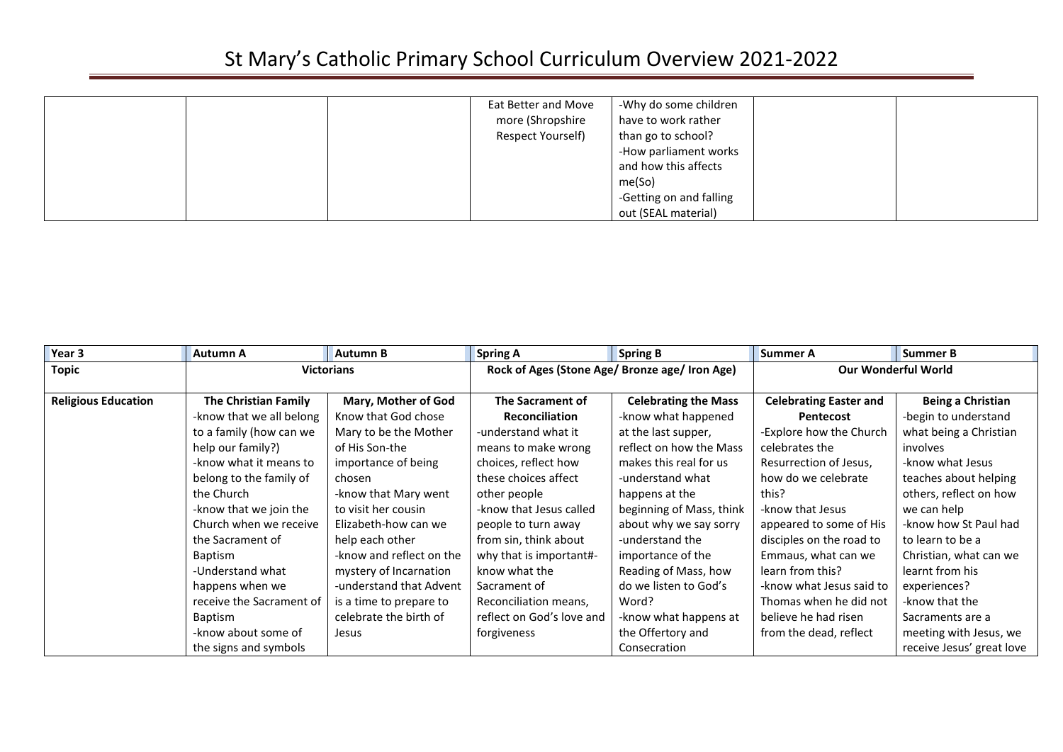|  | Eat Better and Move<br>more (Shropshire<br>Respect Yourself) | -Why do some children<br>have to work rather<br>than go to school?<br>-How parliament works<br>and how this affects<br>me(So)<br>-Getting on and falling<br>out (SEAL material) |  |  |
|--|--------------------------------------------------------------|---------------------------------------------------------------------------------------------------------------------------------------------------------------------------------|--|--|
|--|--------------------------------------------------------------|---------------------------------------------------------------------------------------------------------------------------------------------------------------------------------|--|--|

| Year 3                     | Autumn A                    | <b>Autumn B</b>          | <b>Spring A</b>           | <b>Spring B</b>                                | Summer A                      | <b>Summer B</b>            |  |
|----------------------------|-----------------------------|--------------------------|---------------------------|------------------------------------------------|-------------------------------|----------------------------|--|
| <b>Topic</b>               |                             | <b>Victorians</b>        |                           | Rock of Ages (Stone Age/ Bronze age/ Iron Age) |                               | <b>Our Wonderful World</b> |  |
|                            |                             |                          |                           |                                                |                               |                            |  |
| <b>Religious Education</b> | <b>The Christian Family</b> | Mary, Mother of God      | <b>The Sacrament of</b>   | <b>Celebrating the Mass</b>                    | <b>Celebrating Easter and</b> | Being a Christian          |  |
|                            | -know that we all belong    | Know that God chose      | <b>Reconciliation</b>     | -know what happened                            | Pentecost                     | -begin to understand       |  |
|                            | to a family (how can we     | Mary to be the Mother    | -understand what it       | at the last supper,                            | -Explore how the Church       | what being a Christian     |  |
|                            | help our family?)           | of His Son-the           | means to make wrong       | reflect on how the Mass                        | celebrates the                | involves                   |  |
|                            | -know what it means to      | importance of being      | choices, reflect how      | makes this real for us                         | Resurrection of Jesus,        | -know what Jesus           |  |
|                            | belong to the family of     | chosen                   | these choices affect      | -understand what                               | how do we celebrate           | teaches about helping      |  |
|                            | the Church                  | -know that Mary went     | other people              | happens at the                                 | this?                         | others, reflect on how     |  |
|                            | -know that we join the      | to visit her cousin      | -know that Jesus called   | beginning of Mass, think                       | -know that Jesus              | we can help                |  |
|                            | Church when we receive      | Elizabeth-how can we     | people to turn away       | about why we say sorry                         | appeared to some of His       | -know how St Paul had      |  |
|                            | the Sacrament of            | help each other          | from sin, think about     | -understand the                                | disciples on the road to      | to learn to be a           |  |
|                            | Baptism                     | -know and reflect on the | why that is important#-   | importance of the                              | Emmaus, what can we           | Christian, what can we     |  |
|                            | -Understand what            | mystery of Incarnation   | know what the             | Reading of Mass, how                           | learn from this?              | learnt from his            |  |
|                            | happens when we             | -understand that Advent  | Sacrament of              | do we listen to God's                          | -know what Jesus said to      | experiences?               |  |
|                            | receive the Sacrament of    | is a time to prepare to  | Reconciliation means,     | Word?                                          | Thomas when he did not        | -know that the             |  |
|                            | Baptism                     | celebrate the birth of   | reflect on God's love and | -know what happens at                          | believe he had risen          | Sacraments are a           |  |
|                            | -know about some of         | Jesus                    | forgiveness               | the Offertory and                              | from the dead, reflect        | meeting with Jesus, we     |  |
|                            | the signs and symbols       |                          |                           | Consecration                                   |                               | receive Jesus' great love  |  |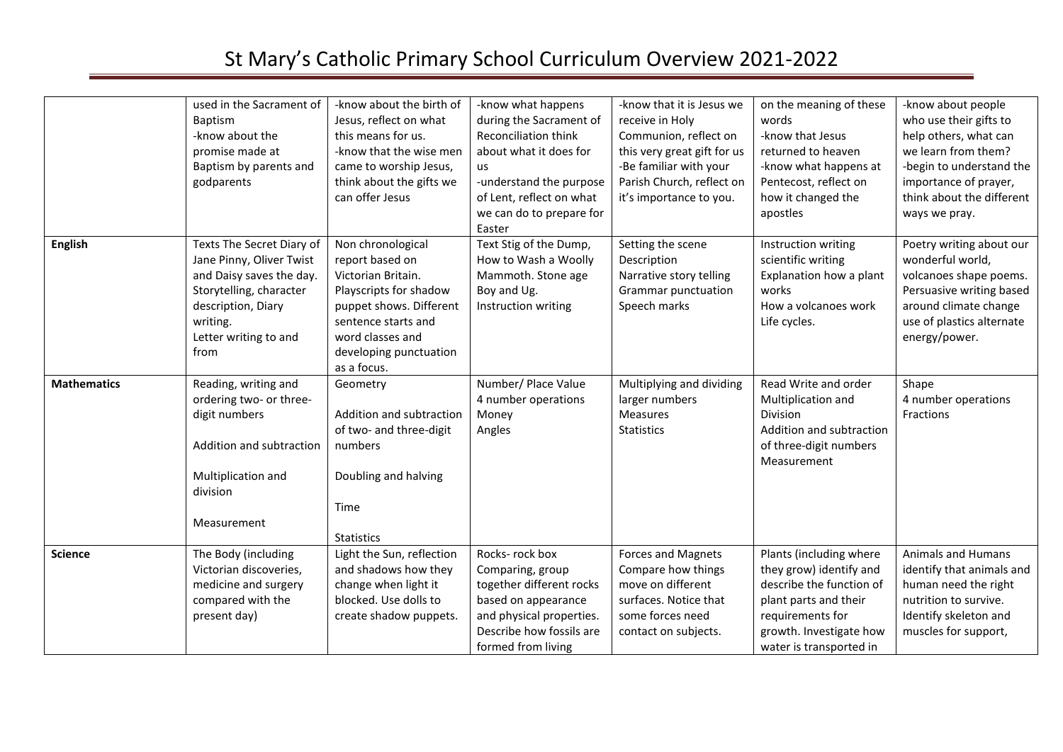|                    | used in the Sacrament of  | -know about the birth of  | -know what happens          | -know that it is Jesus we   | on the meaning of these  | -know about people        |
|--------------------|---------------------------|---------------------------|-----------------------------|-----------------------------|--------------------------|---------------------------|
|                    | Baptism                   | Jesus, reflect on what    | during the Sacrament of     | receive in Holy             | words                    | who use their gifts to    |
|                    | -know about the           | this means for us.        | <b>Reconciliation think</b> | Communion, reflect on       | -know that Jesus         | help others, what can     |
|                    | promise made at           | -know that the wise men   | about what it does for      | this very great gift for us | returned to heaven       | we learn from them?       |
|                    | Baptism by parents and    | came to worship Jesus,    | us                          | -Be familiar with your      | -know what happens at    | -begin to understand the  |
|                    | godparents                | think about the gifts we  | -understand the purpose     | Parish Church, reflect on   | Pentecost, reflect on    | importance of prayer,     |
|                    |                           | can offer Jesus           | of Lent, reflect on what    | it's importance to you.     | how it changed the       | think about the different |
|                    |                           |                           | we can do to prepare for    |                             | apostles                 | ways we pray.             |
|                    |                           |                           | Easter                      |                             |                          |                           |
| <b>English</b>     | Texts The Secret Diary of | Non chronological         | Text Stig of the Dump,      | Setting the scene           | Instruction writing      | Poetry writing about our  |
|                    | Jane Pinny, Oliver Twist  | report based on           | How to Wash a Woolly        | Description                 | scientific writing       | wonderful world,          |
|                    | and Daisy saves the day.  | Victorian Britain.        | Mammoth. Stone age          | Narrative story telling     | Explanation how a plant  | volcanoes shape poems.    |
|                    | Storytelling, character   | Playscripts for shadow    | Boy and Ug.                 | Grammar punctuation         | works                    | Persuasive writing based  |
|                    | description, Diary        | puppet shows. Different   | Instruction writing         | Speech marks                | How a volcanoes work     | around climate change     |
|                    | writing.                  | sentence starts and       |                             |                             | Life cycles.             | use of plastics alternate |
|                    | Letter writing to and     | word classes and          |                             |                             |                          | energy/power.             |
|                    | from                      | developing punctuation    |                             |                             |                          |                           |
|                    |                           | as a focus.               |                             |                             |                          |                           |
| <b>Mathematics</b> | Reading, writing and      | Geometry                  | Number/ Place Value         | Multiplying and dividing    | Read Write and order     | Shape                     |
|                    | ordering two- or three-   |                           | 4 number operations         | larger numbers              | Multiplication and       | 4 number operations       |
|                    | digit numbers             | Addition and subtraction  | Money                       | Measures                    | Division                 | Fractions                 |
|                    |                           | of two- and three-digit   | Angles                      | <b>Statistics</b>           | Addition and subtraction |                           |
|                    | Addition and subtraction  | numbers                   |                             |                             | of three-digit numbers   |                           |
|                    |                           |                           |                             |                             | Measurement              |                           |
|                    | Multiplication and        | Doubling and halving      |                             |                             |                          |                           |
|                    | division                  |                           |                             |                             |                          |                           |
|                    |                           | Time                      |                             |                             |                          |                           |
|                    | Measurement               |                           |                             |                             |                          |                           |
|                    |                           | <b>Statistics</b>         |                             |                             |                          |                           |
| <b>Science</b>     | The Body (including       | Light the Sun, reflection | Rocks-rock box              | <b>Forces and Magnets</b>   | Plants (including where  | Animals and Humans        |
|                    | Victorian discoveries,    | and shadows how they      | Comparing, group            | Compare how things          | they grow) identify and  | identify that animals and |
|                    | medicine and surgery      | change when light it      | together different rocks    | move on different           | describe the function of | human need the right      |
|                    | compared with the         | blocked. Use dolls to     | based on appearance         | surfaces. Notice that       | plant parts and their    | nutrition to survive.     |
|                    | present day)              | create shadow puppets.    | and physical properties.    | some forces need            | requirements for         | Identify skeleton and     |
|                    |                           |                           | Describe how fossils are    | contact on subjects.        | growth. Investigate how  | muscles for support,      |
|                    |                           |                           | formed from living          |                             | water is transported in  |                           |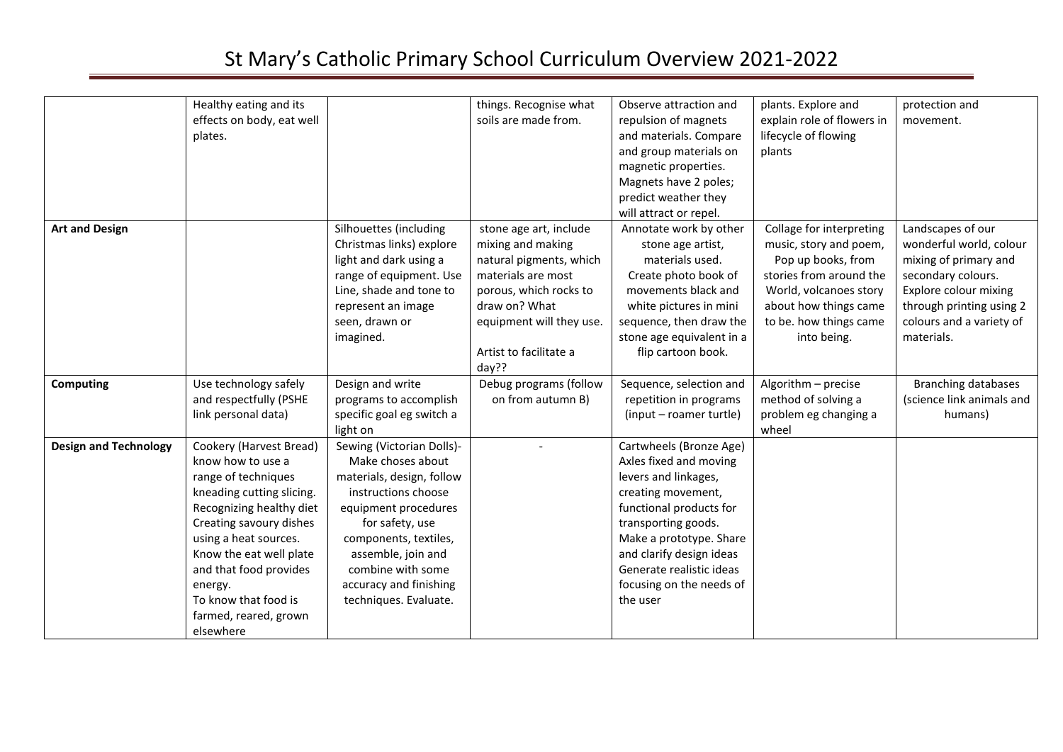|                              | Healthy eating and its<br>effects on body, eat well<br>plates.                                                                                                                                                                                                                                                 |                                                                                                                                                                                                                                                                      | things. Recognise what<br>soils are made from.                                                                                                                                                         | Observe attraction and<br>repulsion of magnets<br>and materials. Compare<br>and group materials on<br>magnetic properties.<br>Magnets have 2 poles;<br>predict weather they<br>will attract or repel.                                                                        | plants. Explore and<br>explain role of flowers in<br>lifecycle of flowing<br>plants                                                                                                             | protection and<br>movement.                                                                                                                                                                |
|------------------------------|----------------------------------------------------------------------------------------------------------------------------------------------------------------------------------------------------------------------------------------------------------------------------------------------------------------|----------------------------------------------------------------------------------------------------------------------------------------------------------------------------------------------------------------------------------------------------------------------|--------------------------------------------------------------------------------------------------------------------------------------------------------------------------------------------------------|------------------------------------------------------------------------------------------------------------------------------------------------------------------------------------------------------------------------------------------------------------------------------|-------------------------------------------------------------------------------------------------------------------------------------------------------------------------------------------------|--------------------------------------------------------------------------------------------------------------------------------------------------------------------------------------------|
| <b>Art and Design</b>        |                                                                                                                                                                                                                                                                                                                | Silhouettes (including<br>Christmas links) explore<br>light and dark using a<br>range of equipment. Use<br>Line, shade and tone to<br>represent an image<br>seen, drawn or<br>imagined.                                                                              | stone age art, include<br>mixing and making<br>natural pigments, which<br>materials are most<br>porous, which rocks to<br>draw on? What<br>equipment will they use.<br>Artist to facilitate a<br>day?? | Annotate work by other<br>stone age artist,<br>materials used.<br>Create photo book of<br>movements black and<br>white pictures in mini<br>sequence, then draw the<br>stone age equivalent in a<br>flip cartoon book.                                                        | Collage for interpreting<br>music, story and poem,<br>Pop up books, from<br>stories from around the<br>World, volcanoes story<br>about how things came<br>to be. how things came<br>into being. | Landscapes of our<br>wonderful world, colour<br>mixing of primary and<br>secondary colours.<br>Explore colour mixing<br>through printing using 2<br>colours and a variety of<br>materials. |
| <b>Computing</b>             | Use technology safely<br>and respectfully (PSHE<br>link personal data)                                                                                                                                                                                                                                         | Design and write<br>programs to accomplish<br>specific goal eg switch a<br>light on                                                                                                                                                                                  | Debug programs (follow<br>on from autumn B)                                                                                                                                                            | Sequence, selection and<br>repetition in programs<br>(input - roamer turtle)                                                                                                                                                                                                 | Algorithm - precise<br>method of solving a<br>problem eg changing a<br>wheel                                                                                                                    | <b>Branching databases</b><br>(science link animals and<br>humans)                                                                                                                         |
| <b>Design and Technology</b> | Cookery (Harvest Bread)<br>know how to use a<br>range of techniques<br>kneading cutting slicing.<br>Recognizing healthy diet<br>Creating savoury dishes<br>using a heat sources.<br>Know the eat well plate<br>and that food provides<br>energy.<br>To know that food is<br>farmed, reared, grown<br>elsewhere | Sewing (Victorian Dolls)-<br>Make choses about<br>materials, design, follow<br>instructions choose<br>equipment procedures<br>for safety, use<br>components, textiles,<br>assemble, join and<br>combine with some<br>accuracy and finishing<br>techniques. Evaluate. |                                                                                                                                                                                                        | Cartwheels (Bronze Age)<br>Axles fixed and moving<br>levers and linkages,<br>creating movement,<br>functional products for<br>transporting goods.<br>Make a prototype. Share<br>and clarify design ideas<br>Generate realistic ideas<br>focusing on the needs of<br>the user |                                                                                                                                                                                                 |                                                                                                                                                                                            |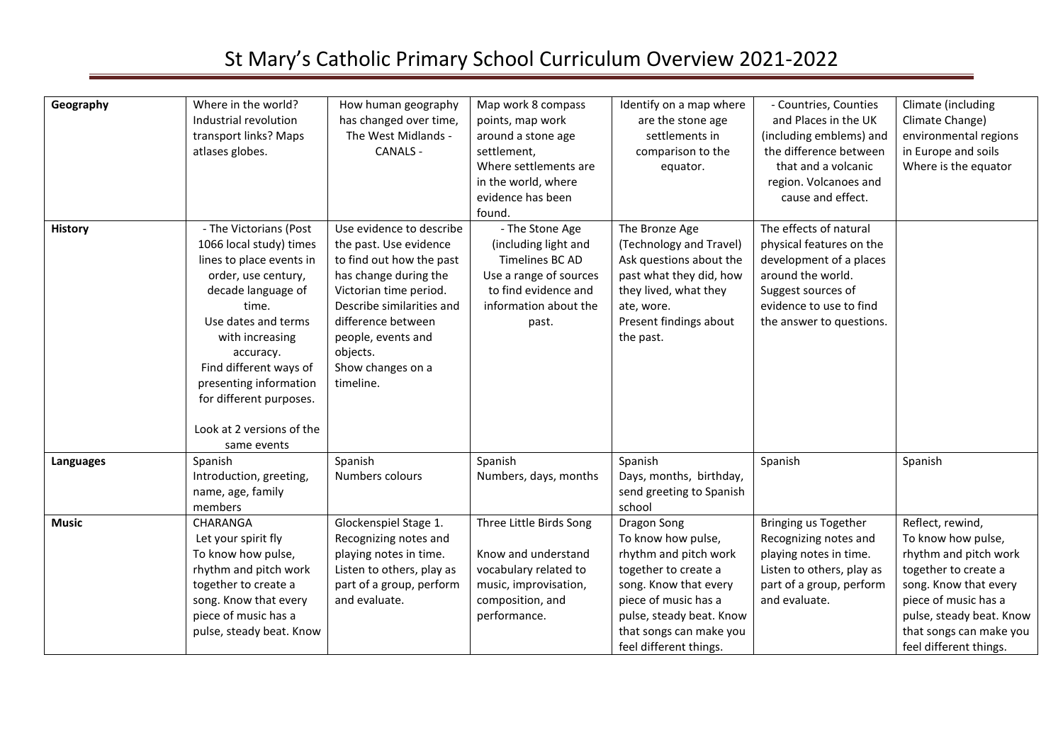| Geography        | Where in the world?<br>Industrial revolution<br>transport links? Maps<br>atlases globes.                                                                                                                                                                                                                              | How human geography<br>has changed over time,<br>The West Midlands -<br><b>CANALS -</b>                                                                                                                                                                  | Map work 8 compass<br>points, map work<br>around a stone age<br>settlement,<br>Where settlements are<br>in the world, where<br>evidence has been<br>found. | Identify on a map where<br>are the stone age<br>settlements in<br>comparison to the<br>equator.                                                                                                                      | - Countries, Counties<br>and Places in the UK<br>(including emblems) and<br>the difference between<br>that and a volcanic<br>region. Volcanoes and<br>cause and effect.         | Climate (including<br>Climate Change)<br>environmental regions<br>in Europe and soils<br>Where is the equator                                                                                                             |
|------------------|-----------------------------------------------------------------------------------------------------------------------------------------------------------------------------------------------------------------------------------------------------------------------------------------------------------------------|----------------------------------------------------------------------------------------------------------------------------------------------------------------------------------------------------------------------------------------------------------|------------------------------------------------------------------------------------------------------------------------------------------------------------|----------------------------------------------------------------------------------------------------------------------------------------------------------------------------------------------------------------------|---------------------------------------------------------------------------------------------------------------------------------------------------------------------------------|---------------------------------------------------------------------------------------------------------------------------------------------------------------------------------------------------------------------------|
| <b>History</b>   | - The Victorians (Post<br>1066 local study) times<br>lines to place events in<br>order, use century,<br>decade language of<br>time.<br>Use dates and terms<br>with increasing<br>accuracy.<br>Find different ways of<br>presenting information<br>for different purposes.<br>Look at 2 versions of the<br>same events | Use evidence to describe<br>the past. Use evidence<br>to find out how the past<br>has change during the<br>Victorian time period.<br>Describe similarities and<br>difference between<br>people, events and<br>objects.<br>Show changes on a<br>timeline. | - The Stone Age<br>(including light and<br>Timelines BC AD<br>Use a range of sources<br>to find evidence and<br>information about the<br>past.             | The Bronze Age<br>(Technology and Travel)<br>Ask questions about the<br>past what they did, how<br>they lived, what they<br>ate, wore.<br>Present findings about<br>the past.                                        | The effects of natural<br>physical features on the<br>development of a places<br>around the world.<br>Suggest sources of<br>evidence to use to find<br>the answer to questions. |                                                                                                                                                                                                                           |
| <b>Languages</b> | Spanish<br>Introduction, greeting,<br>name, age, family<br>members                                                                                                                                                                                                                                                    | Spanish<br>Numbers colours                                                                                                                                                                                                                               | Spanish<br>Numbers, days, months                                                                                                                           | Spanish<br>Days, months, birthday,<br>send greeting to Spanish<br>school                                                                                                                                             | Spanish                                                                                                                                                                         | Spanish                                                                                                                                                                                                                   |
| <b>Music</b>     | <b>CHARANGA</b><br>Let your spirit fly<br>To know how pulse,<br>rhythm and pitch work<br>together to create a<br>song. Know that every<br>piece of music has a<br>pulse, steady beat. Know                                                                                                                            | Glockenspiel Stage 1.<br>Recognizing notes and<br>playing notes in time.<br>Listen to others, play as<br>part of a group, perform<br>and evaluate.                                                                                                       | Three Little Birds Song<br>Know and understand<br>vocabulary related to<br>music, improvisation,<br>composition, and<br>performance.                       | Dragon Song<br>To know how pulse,<br>rhythm and pitch work<br>together to create a<br>song. Know that every<br>piece of music has a<br>pulse, steady beat. Know<br>that songs can make you<br>feel different things. | Bringing us Together<br>Recognizing notes and<br>playing notes in time.<br>Listen to others, play as<br>part of a group, perform<br>and evaluate.                               | Reflect, rewind,<br>To know how pulse,<br>rhythm and pitch work<br>together to create a<br>song. Know that every<br>piece of music has a<br>pulse, steady beat. Know<br>that songs can make you<br>feel different things. |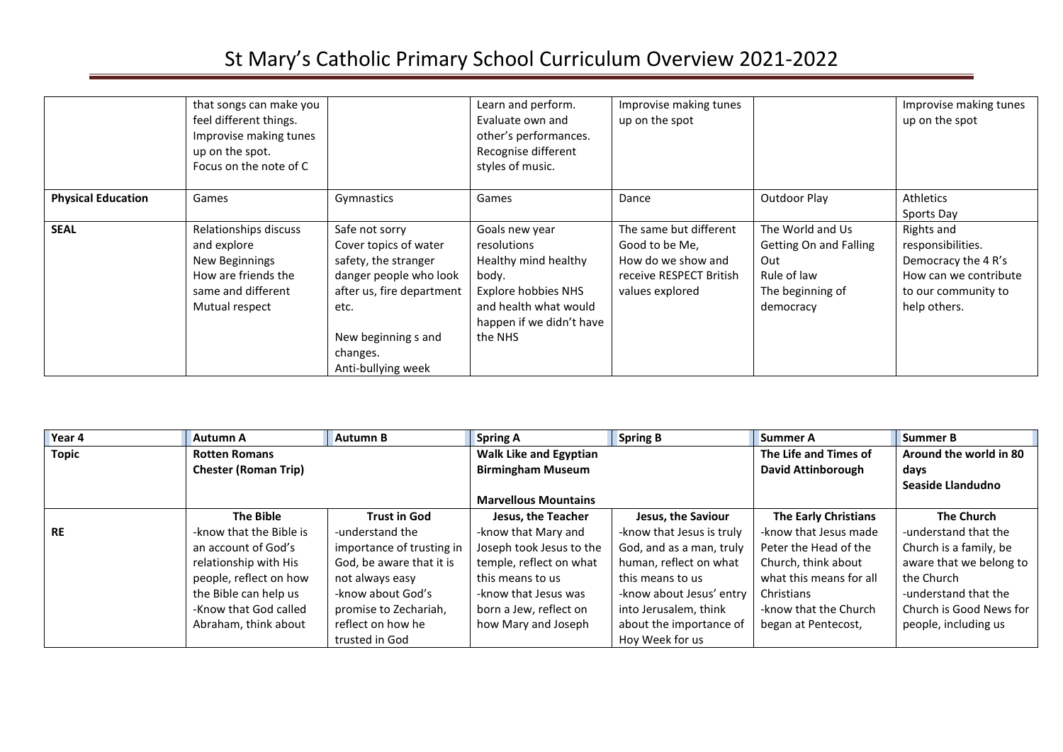|                           | that songs can make you<br>feel different things.<br>Improvise making tunes<br>up on the spot.<br>Focus on the note of C |                                                                                                                                                                                         | Learn and perform.<br>Evaluate own and<br>other's performances.<br>Recognise different<br>styles of music.                                            | Improvise making tunes<br>up on the spot                                                                     |                                                                                                   | Improvise making tunes<br>up on the spot                                                                               |
|---------------------------|--------------------------------------------------------------------------------------------------------------------------|-----------------------------------------------------------------------------------------------------------------------------------------------------------------------------------------|-------------------------------------------------------------------------------------------------------------------------------------------------------|--------------------------------------------------------------------------------------------------------------|---------------------------------------------------------------------------------------------------|------------------------------------------------------------------------------------------------------------------------|
| <b>Physical Education</b> | Games                                                                                                                    | Gymnastics                                                                                                                                                                              | Games                                                                                                                                                 | Dance                                                                                                        | Outdoor Play                                                                                      | Athletics<br>Sports Day                                                                                                |
| <b>SEAL</b>               | Relationships discuss<br>and explore<br>New Beginnings<br>How are friends the<br>same and different<br>Mutual respect    | Safe not sorry<br>Cover topics of water<br>safety, the stranger<br>danger people who look<br>after us, fire department<br>etc.<br>New beginning s and<br>changes.<br>Anti-bullying week | Goals new year<br>resolutions<br>Healthy mind healthy<br>body.<br>Explore hobbies NHS<br>and health what would<br>happen if we didn't have<br>the NHS | The same but different<br>Good to be Me,<br>How do we show and<br>receive RESPECT British<br>values explored | The World and Us<br>Getting On and Falling<br>Out<br>Rule of law<br>The beginning of<br>democracy | Rights and<br>responsibilities.<br>Democracy the 4 R's<br>How can we contribute<br>to our community to<br>help others. |

| Year 4       | <b>Autumn A</b>             | <b>Autumn B</b>           | <b>Spring A</b>               | <b>Spring B</b>           | <b>Summer A</b>             | <b>Summer B</b>         |
|--------------|-----------------------------|---------------------------|-------------------------------|---------------------------|-----------------------------|-------------------------|
| <b>Topic</b> | <b>Rotten Romans</b>        |                           | <b>Walk Like and Egyptian</b> |                           | The Life and Times of       | Around the world in 80  |
|              | <b>Chester (Roman Trip)</b> |                           | <b>Birmingham Museum</b>      |                           | <b>David Attinborough</b>   | days                    |
|              |                             |                           |                               |                           |                             | Seaside Llandudno       |
|              |                             |                           | <b>Marvellous Mountains</b>   |                           |                             |                         |
|              | <b>The Bible</b>            | <b>Trust in God</b>       | Jesus, the Teacher            | Jesus, the Saviour        | <b>The Early Christians</b> | <b>The Church</b>       |
| <b>RE</b>    | -know that the Bible is     | -understand the           | -know that Mary and           | -know that Jesus is truly | -know that Jesus made       | -understand that the    |
|              | an account of God's         | importance of trusting in | Joseph took Jesus to the      | God, and as a man, truly  | Peter the Head of the       | Church is a family, be  |
|              | relationship with His       | God, be aware that it is  | temple, reflect on what       | human, reflect on what    | Church, think about         | aware that we belong to |
|              | people, reflect on how      | not always easy           | this means to us              | this means to us          | what this means for all     | the Church              |
|              | the Bible can help us       | -know about God's         | -know that Jesus was          | -know about Jesus' entry  | Christians                  | -understand that the    |
|              | -Know that God called       | promise to Zechariah,     | born a Jew, reflect on        | into Jerusalem, think     | -know that the Church       | Church is Good News for |
|              | Abraham, think about        | reflect on how he         | how Mary and Joseph           | about the importance of   | began at Pentecost,         | people, including us    |
|              |                             | trusted in God            |                               | Hoy Week for us           |                             |                         |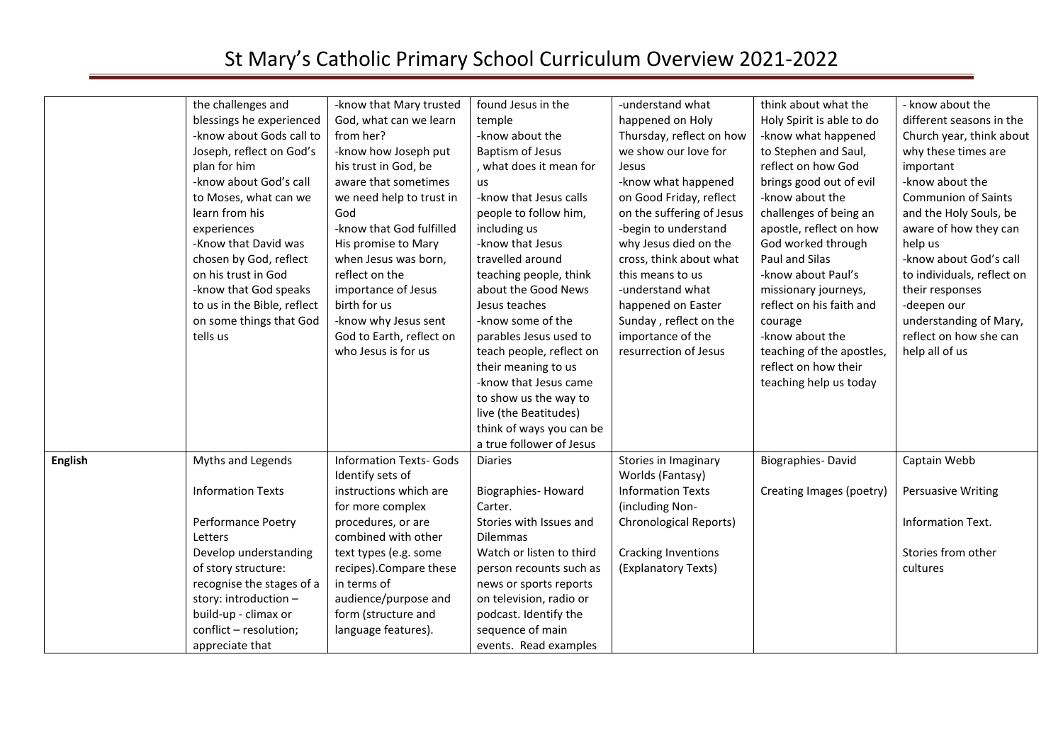|                | the challenges and<br>blessings he experienced<br>-know about Gods call to<br>Joseph, reflect on God's<br>plan for him<br>-know about God's call<br>to Moses, what can we<br>learn from his | -know that Mary trusted<br>God, what can we learn<br>from her?<br>-know how Joseph put<br>his trust in God, be<br>aware that sometimes<br>we need help to trust in<br>God | found Jesus in the<br>temple<br>-know about the<br><b>Baptism of Jesus</b><br>, what does it mean for<br>us<br>-know that Jesus calls<br>people to follow him,                                                                    | -understand what<br>happened on Holy<br>Thursday, reflect on how<br>we show our love for<br>Jesus<br>-know what happened<br>on Good Friday, reflect<br>on the suffering of Jesus | think about what the<br>Holy Spirit is able to do<br>-know what happened<br>to Stephen and Saul,<br>reflect on how God<br>brings good out of evil<br>-know about the<br>challenges of being an | - know about the<br>different seasons in the<br>Church year, think about<br>why these times are<br>important<br>-know about the<br><b>Communion of Saints</b><br>and the Holy Souls, be |
|----------------|---------------------------------------------------------------------------------------------------------------------------------------------------------------------------------------------|---------------------------------------------------------------------------------------------------------------------------------------------------------------------------|-----------------------------------------------------------------------------------------------------------------------------------------------------------------------------------------------------------------------------------|----------------------------------------------------------------------------------------------------------------------------------------------------------------------------------|------------------------------------------------------------------------------------------------------------------------------------------------------------------------------------------------|-----------------------------------------------------------------------------------------------------------------------------------------------------------------------------------------|
|                | experiences<br>-Know that David was<br>chosen by God, reflect<br>on his trust in God<br>-know that God speaks<br>to us in the Bible, reflect                                                | -know that God fulfilled<br>His promise to Mary<br>when Jesus was born,<br>reflect on the<br>importance of Jesus<br>birth for us                                          | including us<br>-know that Jesus<br>travelled around<br>teaching people, think<br>about the Good News<br>Jesus teaches                                                                                                            | -begin to understand<br>why Jesus died on the<br>cross, think about what<br>this means to us<br>-understand what<br>happened on Easter                                           | apostle, reflect on how<br>God worked through<br>Paul and Silas<br>-know about Paul's<br>missionary journeys,<br>reflect on his faith and                                                      | aware of how they can<br>help us<br>-know about God's call<br>to individuals, reflect on<br>their responses<br>-deepen our                                                              |
|                | on some things that God<br>tells us                                                                                                                                                         | -know why Jesus sent<br>God to Earth, reflect on<br>who Jesus is for us                                                                                                   | -know some of the<br>parables Jesus used to<br>teach people, reflect on<br>their meaning to us<br>-know that Jesus came<br>to show us the way to<br>live (the Beatitudes)<br>think of ways you can be<br>a true follower of Jesus | Sunday, reflect on the<br>importance of the<br>resurrection of Jesus                                                                                                             | courage<br>-know about the<br>teaching of the apostles,<br>reflect on how their<br>teaching help us today                                                                                      | understanding of Mary,<br>reflect on how she can<br>help all of us                                                                                                                      |
| <b>English</b> | Myths and Legends                                                                                                                                                                           | <b>Information Texts- Gods</b><br>Identify sets of                                                                                                                        | <b>Diaries</b>                                                                                                                                                                                                                    | Stories in Imaginary<br>Worlds (Fantasy)                                                                                                                                         | Biographies-David                                                                                                                                                                              | Captain Webb                                                                                                                                                                            |
|                | <b>Information Texts</b>                                                                                                                                                                    | instructions which are<br>for more complex                                                                                                                                | <b>Biographies- Howard</b><br>Carter.                                                                                                                                                                                             | <b>Information Texts</b><br>(including Non-                                                                                                                                      | Creating Images (poetry)                                                                                                                                                                       | Persuasive Writing                                                                                                                                                                      |
|                | Performance Poetry<br>Letters                                                                                                                                                               | procedures, or are<br>combined with other                                                                                                                                 | Stories with Issues and<br><b>Dilemmas</b>                                                                                                                                                                                        | Chronological Reports)                                                                                                                                                           |                                                                                                                                                                                                | Information Text.                                                                                                                                                                       |
|                | Develop understanding<br>of story structure:                                                                                                                                                | text types (e.g. some<br>recipes).Compare these                                                                                                                           | Watch or listen to third<br>person recounts such as                                                                                                                                                                               | <b>Cracking Inventions</b><br>(Explanatory Texts)                                                                                                                                |                                                                                                                                                                                                | Stories from other<br>cultures                                                                                                                                                          |
|                | recognise the stages of a<br>story: introduction -<br>build-up - climax or<br>conflict - resolution;                                                                                        | in terms of<br>audience/purpose and<br>form (structure and<br>language features).                                                                                         | news or sports reports<br>on television, radio or<br>podcast. Identify the<br>sequence of main                                                                                                                                    |                                                                                                                                                                                  |                                                                                                                                                                                                |                                                                                                                                                                                         |
|                | appreciate that                                                                                                                                                                             |                                                                                                                                                                           | events. Read examples                                                                                                                                                                                                             |                                                                                                                                                                                  |                                                                                                                                                                                                |                                                                                                                                                                                         |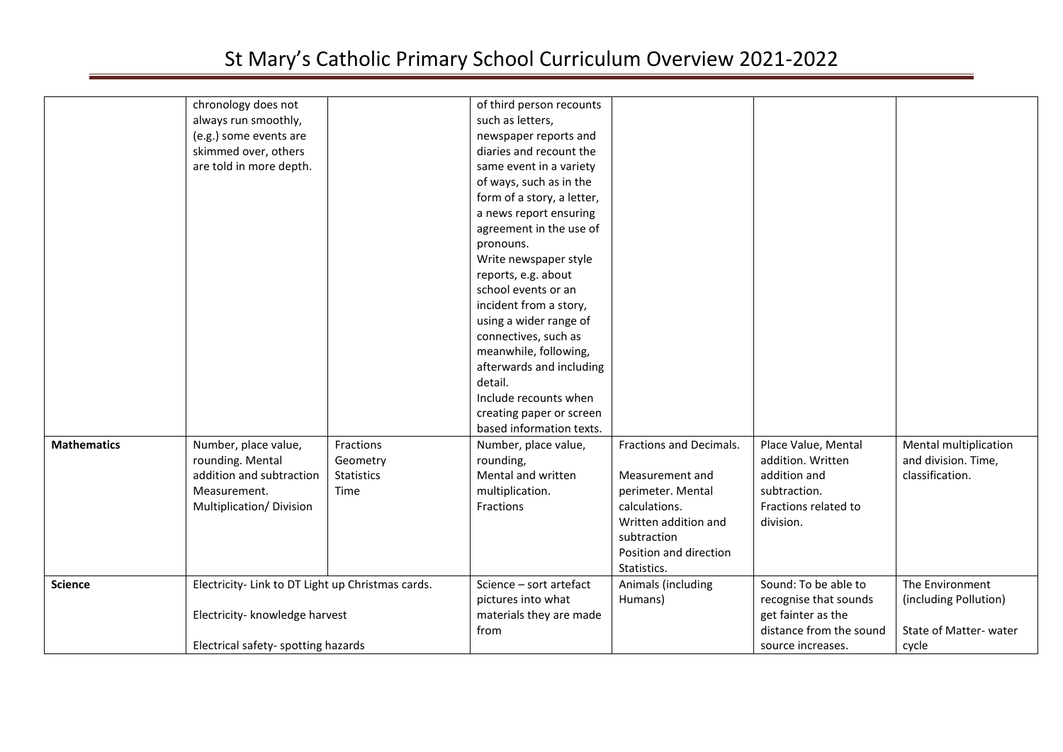| chronology does not<br>of third person recounts<br>always run smoothly,<br>such as letters,<br>(e.g.) some events are<br>newspaper reports and<br>skimmed over, others<br>diaries and recount the<br>are told in more depth.<br>same event in a variety<br>of ways, such as in the<br>form of a story, a letter,<br>a news report ensuring<br>agreement in the use of<br>pronouns.<br>Write newspaper style<br>reports, e.g. about<br>school events or an<br>incident from a story,<br>using a wider range of<br>connectives, such as<br>meanwhile, following,<br>afterwards and including<br>detail.<br>Include recounts when<br>creating paper or screen<br>based information texts.<br><b>Mathematics</b><br>Number, place value,<br>Fractions<br>Fractions and Decimals.<br>Place Value, Mental<br>Mental multiplication<br>Number, place value,<br>rounding. Mental<br>addition. Written<br>and division. Time,<br>rounding,<br>Geometry<br>addition and subtraction<br>addition and<br>classification.<br><b>Statistics</b><br>Mental and written<br>Measurement and<br>subtraction.<br>Measurement.<br>multiplication.<br>Time<br>perimeter. Mental<br>Fractions related to<br>Multiplication/Division<br>Fractions<br>calculations.<br>Written addition and<br>division.<br>subtraction<br>Position and direction<br>Statistics.<br>Electricity- Link to DT Light up Christmas cards.<br>Sound: To be able to<br>Science - sort artefact<br>Animals (including<br>The Environment<br><b>Science</b><br>recognise that sounds<br>(including Pollution)<br>pictures into what<br>Humans)<br>get fainter as the<br>Electricity- knowledge harvest<br>materials they are made<br>distance from the sound<br>State of Matter-water<br>from<br>Electrical safety- spotting hazards<br>source increases.<br>cycle |  |  |  |  |
|--------------------------------------------------------------------------------------------------------------------------------------------------------------------------------------------------------------------------------------------------------------------------------------------------------------------------------------------------------------------------------------------------------------------------------------------------------------------------------------------------------------------------------------------------------------------------------------------------------------------------------------------------------------------------------------------------------------------------------------------------------------------------------------------------------------------------------------------------------------------------------------------------------------------------------------------------------------------------------------------------------------------------------------------------------------------------------------------------------------------------------------------------------------------------------------------------------------------------------------------------------------------------------------------------------------------------------------------------------------------------------------------------------------------------------------------------------------------------------------------------------------------------------------------------------------------------------------------------------------------------------------------------------------------------------------------------------------------------------------------------------------------------------------------------------------------|--|--|--|--|
|                                                                                                                                                                                                                                                                                                                                                                                                                                                                                                                                                                                                                                                                                                                                                                                                                                                                                                                                                                                                                                                                                                                                                                                                                                                                                                                                                                                                                                                                                                                                                                                                                                                                                                                                                                                                                    |  |  |  |  |
|                                                                                                                                                                                                                                                                                                                                                                                                                                                                                                                                                                                                                                                                                                                                                                                                                                                                                                                                                                                                                                                                                                                                                                                                                                                                                                                                                                                                                                                                                                                                                                                                                                                                                                                                                                                                                    |  |  |  |  |
|                                                                                                                                                                                                                                                                                                                                                                                                                                                                                                                                                                                                                                                                                                                                                                                                                                                                                                                                                                                                                                                                                                                                                                                                                                                                                                                                                                                                                                                                                                                                                                                                                                                                                                                                                                                                                    |  |  |  |  |
|                                                                                                                                                                                                                                                                                                                                                                                                                                                                                                                                                                                                                                                                                                                                                                                                                                                                                                                                                                                                                                                                                                                                                                                                                                                                                                                                                                                                                                                                                                                                                                                                                                                                                                                                                                                                                    |  |  |  |  |
|                                                                                                                                                                                                                                                                                                                                                                                                                                                                                                                                                                                                                                                                                                                                                                                                                                                                                                                                                                                                                                                                                                                                                                                                                                                                                                                                                                                                                                                                                                                                                                                                                                                                                                                                                                                                                    |  |  |  |  |
|                                                                                                                                                                                                                                                                                                                                                                                                                                                                                                                                                                                                                                                                                                                                                                                                                                                                                                                                                                                                                                                                                                                                                                                                                                                                                                                                                                                                                                                                                                                                                                                                                                                                                                                                                                                                                    |  |  |  |  |
|                                                                                                                                                                                                                                                                                                                                                                                                                                                                                                                                                                                                                                                                                                                                                                                                                                                                                                                                                                                                                                                                                                                                                                                                                                                                                                                                                                                                                                                                                                                                                                                                                                                                                                                                                                                                                    |  |  |  |  |
|                                                                                                                                                                                                                                                                                                                                                                                                                                                                                                                                                                                                                                                                                                                                                                                                                                                                                                                                                                                                                                                                                                                                                                                                                                                                                                                                                                                                                                                                                                                                                                                                                                                                                                                                                                                                                    |  |  |  |  |
|                                                                                                                                                                                                                                                                                                                                                                                                                                                                                                                                                                                                                                                                                                                                                                                                                                                                                                                                                                                                                                                                                                                                                                                                                                                                                                                                                                                                                                                                                                                                                                                                                                                                                                                                                                                                                    |  |  |  |  |
|                                                                                                                                                                                                                                                                                                                                                                                                                                                                                                                                                                                                                                                                                                                                                                                                                                                                                                                                                                                                                                                                                                                                                                                                                                                                                                                                                                                                                                                                                                                                                                                                                                                                                                                                                                                                                    |  |  |  |  |
|                                                                                                                                                                                                                                                                                                                                                                                                                                                                                                                                                                                                                                                                                                                                                                                                                                                                                                                                                                                                                                                                                                                                                                                                                                                                                                                                                                                                                                                                                                                                                                                                                                                                                                                                                                                                                    |  |  |  |  |
|                                                                                                                                                                                                                                                                                                                                                                                                                                                                                                                                                                                                                                                                                                                                                                                                                                                                                                                                                                                                                                                                                                                                                                                                                                                                                                                                                                                                                                                                                                                                                                                                                                                                                                                                                                                                                    |  |  |  |  |
|                                                                                                                                                                                                                                                                                                                                                                                                                                                                                                                                                                                                                                                                                                                                                                                                                                                                                                                                                                                                                                                                                                                                                                                                                                                                                                                                                                                                                                                                                                                                                                                                                                                                                                                                                                                                                    |  |  |  |  |
|                                                                                                                                                                                                                                                                                                                                                                                                                                                                                                                                                                                                                                                                                                                                                                                                                                                                                                                                                                                                                                                                                                                                                                                                                                                                                                                                                                                                                                                                                                                                                                                                                                                                                                                                                                                                                    |  |  |  |  |
|                                                                                                                                                                                                                                                                                                                                                                                                                                                                                                                                                                                                                                                                                                                                                                                                                                                                                                                                                                                                                                                                                                                                                                                                                                                                                                                                                                                                                                                                                                                                                                                                                                                                                                                                                                                                                    |  |  |  |  |
|                                                                                                                                                                                                                                                                                                                                                                                                                                                                                                                                                                                                                                                                                                                                                                                                                                                                                                                                                                                                                                                                                                                                                                                                                                                                                                                                                                                                                                                                                                                                                                                                                                                                                                                                                                                                                    |  |  |  |  |
|                                                                                                                                                                                                                                                                                                                                                                                                                                                                                                                                                                                                                                                                                                                                                                                                                                                                                                                                                                                                                                                                                                                                                                                                                                                                                                                                                                                                                                                                                                                                                                                                                                                                                                                                                                                                                    |  |  |  |  |
|                                                                                                                                                                                                                                                                                                                                                                                                                                                                                                                                                                                                                                                                                                                                                                                                                                                                                                                                                                                                                                                                                                                                                                                                                                                                                                                                                                                                                                                                                                                                                                                                                                                                                                                                                                                                                    |  |  |  |  |
|                                                                                                                                                                                                                                                                                                                                                                                                                                                                                                                                                                                                                                                                                                                                                                                                                                                                                                                                                                                                                                                                                                                                                                                                                                                                                                                                                                                                                                                                                                                                                                                                                                                                                                                                                                                                                    |  |  |  |  |
|                                                                                                                                                                                                                                                                                                                                                                                                                                                                                                                                                                                                                                                                                                                                                                                                                                                                                                                                                                                                                                                                                                                                                                                                                                                                                                                                                                                                                                                                                                                                                                                                                                                                                                                                                                                                                    |  |  |  |  |
|                                                                                                                                                                                                                                                                                                                                                                                                                                                                                                                                                                                                                                                                                                                                                                                                                                                                                                                                                                                                                                                                                                                                                                                                                                                                                                                                                                                                                                                                                                                                                                                                                                                                                                                                                                                                                    |  |  |  |  |
|                                                                                                                                                                                                                                                                                                                                                                                                                                                                                                                                                                                                                                                                                                                                                                                                                                                                                                                                                                                                                                                                                                                                                                                                                                                                                                                                                                                                                                                                                                                                                                                                                                                                                                                                                                                                                    |  |  |  |  |
|                                                                                                                                                                                                                                                                                                                                                                                                                                                                                                                                                                                                                                                                                                                                                                                                                                                                                                                                                                                                                                                                                                                                                                                                                                                                                                                                                                                                                                                                                                                                                                                                                                                                                                                                                                                                                    |  |  |  |  |
|                                                                                                                                                                                                                                                                                                                                                                                                                                                                                                                                                                                                                                                                                                                                                                                                                                                                                                                                                                                                                                                                                                                                                                                                                                                                                                                                                                                                                                                                                                                                                                                                                                                                                                                                                                                                                    |  |  |  |  |
|                                                                                                                                                                                                                                                                                                                                                                                                                                                                                                                                                                                                                                                                                                                                                                                                                                                                                                                                                                                                                                                                                                                                                                                                                                                                                                                                                                                                                                                                                                                                                                                                                                                                                                                                                                                                                    |  |  |  |  |
|                                                                                                                                                                                                                                                                                                                                                                                                                                                                                                                                                                                                                                                                                                                                                                                                                                                                                                                                                                                                                                                                                                                                                                                                                                                                                                                                                                                                                                                                                                                                                                                                                                                                                                                                                                                                                    |  |  |  |  |
|                                                                                                                                                                                                                                                                                                                                                                                                                                                                                                                                                                                                                                                                                                                                                                                                                                                                                                                                                                                                                                                                                                                                                                                                                                                                                                                                                                                                                                                                                                                                                                                                                                                                                                                                                                                                                    |  |  |  |  |
|                                                                                                                                                                                                                                                                                                                                                                                                                                                                                                                                                                                                                                                                                                                                                                                                                                                                                                                                                                                                                                                                                                                                                                                                                                                                                                                                                                                                                                                                                                                                                                                                                                                                                                                                                                                                                    |  |  |  |  |
|                                                                                                                                                                                                                                                                                                                                                                                                                                                                                                                                                                                                                                                                                                                                                                                                                                                                                                                                                                                                                                                                                                                                                                                                                                                                                                                                                                                                                                                                                                                                                                                                                                                                                                                                                                                                                    |  |  |  |  |
|                                                                                                                                                                                                                                                                                                                                                                                                                                                                                                                                                                                                                                                                                                                                                                                                                                                                                                                                                                                                                                                                                                                                                                                                                                                                                                                                                                                                                                                                                                                                                                                                                                                                                                                                                                                                                    |  |  |  |  |
|                                                                                                                                                                                                                                                                                                                                                                                                                                                                                                                                                                                                                                                                                                                                                                                                                                                                                                                                                                                                                                                                                                                                                                                                                                                                                                                                                                                                                                                                                                                                                                                                                                                                                                                                                                                                                    |  |  |  |  |
|                                                                                                                                                                                                                                                                                                                                                                                                                                                                                                                                                                                                                                                                                                                                                                                                                                                                                                                                                                                                                                                                                                                                                                                                                                                                                                                                                                                                                                                                                                                                                                                                                                                                                                                                                                                                                    |  |  |  |  |
|                                                                                                                                                                                                                                                                                                                                                                                                                                                                                                                                                                                                                                                                                                                                                                                                                                                                                                                                                                                                                                                                                                                                                                                                                                                                                                                                                                                                                                                                                                                                                                                                                                                                                                                                                                                                                    |  |  |  |  |
|                                                                                                                                                                                                                                                                                                                                                                                                                                                                                                                                                                                                                                                                                                                                                                                                                                                                                                                                                                                                                                                                                                                                                                                                                                                                                                                                                                                                                                                                                                                                                                                                                                                                                                                                                                                                                    |  |  |  |  |
|                                                                                                                                                                                                                                                                                                                                                                                                                                                                                                                                                                                                                                                                                                                                                                                                                                                                                                                                                                                                                                                                                                                                                                                                                                                                                                                                                                                                                                                                                                                                                                                                                                                                                                                                                                                                                    |  |  |  |  |
|                                                                                                                                                                                                                                                                                                                                                                                                                                                                                                                                                                                                                                                                                                                                                                                                                                                                                                                                                                                                                                                                                                                                                                                                                                                                                                                                                                                                                                                                                                                                                                                                                                                                                                                                                                                                                    |  |  |  |  |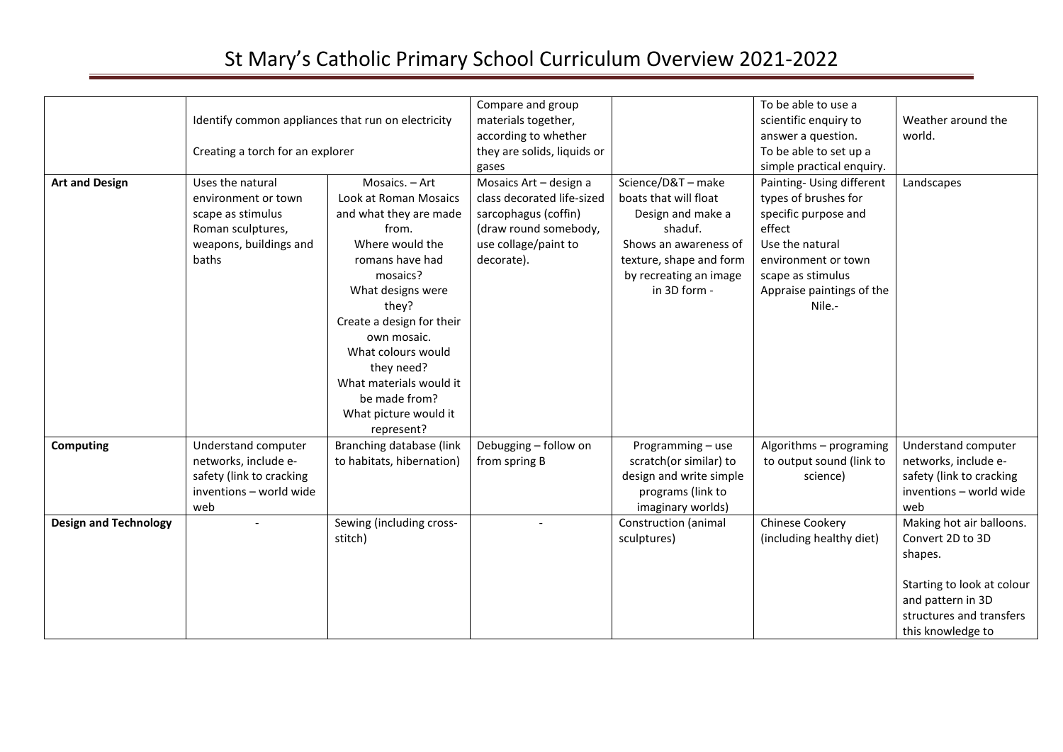|                              | Identify common appliances that run on electricity<br>Creating a torch for an explorer                               |                                                                                                                                                                                                                                                                                                                               | Compare and group<br>materials together,<br>according to whether<br>they are solids, liquids or<br>gases                                    |                                                                                                                                                                           | To be able to use a<br>scientific enquiry to<br>answer a question.<br>To be able to set up a<br>simple practical enquiry.                                                                 | Weather around the<br>world.                                                                                                                                |
|------------------------------|----------------------------------------------------------------------------------------------------------------------|-------------------------------------------------------------------------------------------------------------------------------------------------------------------------------------------------------------------------------------------------------------------------------------------------------------------------------|---------------------------------------------------------------------------------------------------------------------------------------------|---------------------------------------------------------------------------------------------------------------------------------------------------------------------------|-------------------------------------------------------------------------------------------------------------------------------------------------------------------------------------------|-------------------------------------------------------------------------------------------------------------------------------------------------------------|
| <b>Art and Design</b>        | Uses the natural<br>environment or town<br>scape as stimulus<br>Roman sculptures,<br>weapons, buildings and<br>baths | Mosaics. - Art<br>Look at Roman Mosaics<br>and what they are made<br>from.<br>Where would the<br>romans have had<br>mosaics?<br>What designs were<br>they?<br>Create a design for their<br>own mosaic.<br>What colours would<br>they need?<br>What materials would it<br>be made from?<br>What picture would it<br>represent? | Mosaics Art - design a<br>class decorated life-sized<br>sarcophagus (coffin)<br>(draw round somebody,<br>use collage/paint to<br>decorate). | Science/D&T - make<br>boats that will float<br>Design and make a<br>shaduf.<br>Shows an awareness of<br>texture, shape and form<br>by recreating an image<br>in 3D form - | Painting- Using different<br>types of brushes for<br>specific purpose and<br>effect<br>Use the natural<br>environment or town<br>scape as stimulus<br>Appraise paintings of the<br>Nile.- | Landscapes                                                                                                                                                  |
| <b>Computing</b>             | Understand computer<br>networks, include e-<br>safety (link to cracking<br>inventions - world wide<br>web            | Branching database (link<br>to habitats, hibernation)                                                                                                                                                                                                                                                                         | Debugging - follow on<br>from spring B                                                                                                      | Programming - use<br>scratch(or similar) to<br>design and write simple<br>programs (link to<br>imaginary worlds)                                                          | Algorithms - programing<br>to output sound (link to<br>science)                                                                                                                           | Understand computer<br>networks, include e-<br>safety (link to cracking<br>inventions - world wide<br>web                                                   |
| <b>Design and Technology</b> |                                                                                                                      | Sewing (including cross-<br>stitch)                                                                                                                                                                                                                                                                                           |                                                                                                                                             | Construction (animal<br>sculptures)                                                                                                                                       | <b>Chinese Cookery</b><br>(including healthy diet)                                                                                                                                        | Making hot air balloons.<br>Convert 2D to 3D<br>shapes.<br>Starting to look at colour<br>and pattern in 3D<br>structures and transfers<br>this knowledge to |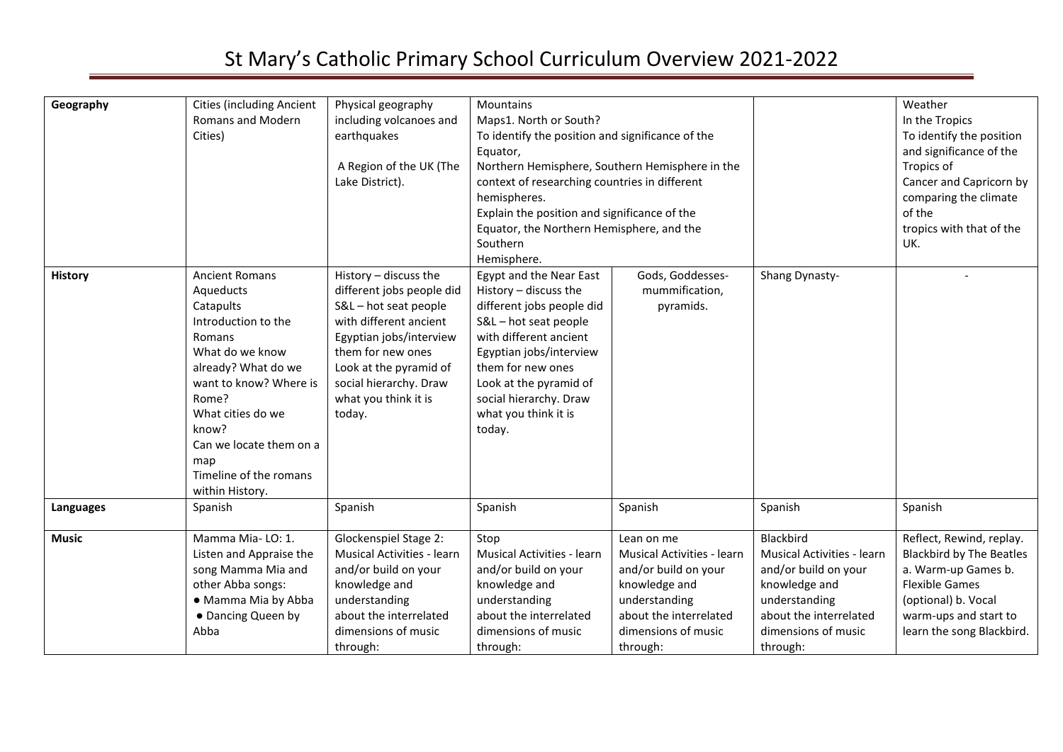| Geography      | <b>Cities (including Ancient</b><br>Romans and Modern<br>Cities)                                                                                                                                                                                                           | Physical geography<br>including volcanoes and<br>earthquakes<br>A Region of the UK (The<br>Lake District).                                                                                                                                | Mountains<br>Maps1. North or South?<br>To identify the position and significance of the<br>Equator,<br>Northern Hemisphere, Southern Hemisphere in the<br>context of researching countries in different<br>hemispheres.<br>Explain the position and significance of the<br>Equator, the Northern Hemisphere, and the<br>Southern<br>Hemisphere. |                                                                                                                                                                        |                                                                                                                                                                       | Weather<br>In the Tropics<br>To identify the position<br>and significance of the<br>Tropics of<br>Cancer and Capricorn by<br>comparing the climate<br>of the<br>tropics with that of the<br>UK. |
|----------------|----------------------------------------------------------------------------------------------------------------------------------------------------------------------------------------------------------------------------------------------------------------------------|-------------------------------------------------------------------------------------------------------------------------------------------------------------------------------------------------------------------------------------------|-------------------------------------------------------------------------------------------------------------------------------------------------------------------------------------------------------------------------------------------------------------------------------------------------------------------------------------------------|------------------------------------------------------------------------------------------------------------------------------------------------------------------------|-----------------------------------------------------------------------------------------------------------------------------------------------------------------------|-------------------------------------------------------------------------------------------------------------------------------------------------------------------------------------------------|
| <b>History</b> | <b>Ancient Romans</b><br>Aqueducts<br>Catapults<br>Introduction to the<br>Romans<br>What do we know<br>already? What do we<br>want to know? Where is<br>Rome?<br>What cities do we<br>know?<br>Can we locate them on a<br>map<br>Timeline of the romans<br>within History. | History - discuss the<br>different jobs people did<br>S&L-hot seat people<br>with different ancient<br>Egyptian jobs/interview<br>them for new ones<br>Look at the pyramid of<br>social hierarchy. Draw<br>what you think it is<br>today. | Egypt and the Near East<br>History - discuss the<br>different jobs people did<br>S&L-hot seat people<br>with different ancient<br>Egyptian jobs/interview<br>them for new ones<br>Look at the pyramid of<br>social hierarchy. Draw<br>what you think it is<br>today.                                                                            | Gods, Goddesses-<br>mummification,<br>pyramids.                                                                                                                        | Shang Dynasty-                                                                                                                                                        |                                                                                                                                                                                                 |
| Languages      | Spanish                                                                                                                                                                                                                                                                    | Spanish                                                                                                                                                                                                                                   | Spanish                                                                                                                                                                                                                                                                                                                                         | Spanish                                                                                                                                                                | Spanish                                                                                                                                                               | Spanish                                                                                                                                                                                         |
| <b>Music</b>   | Mamma Mia-LO: 1.<br>Listen and Appraise the<br>song Mamma Mia and<br>other Abba songs:<br>• Mamma Mia by Abba<br>• Dancing Queen by<br>Abba                                                                                                                                | Glockenspiel Stage 2:<br><b>Musical Activities - learn</b><br>and/or build on your<br>knowledge and<br>understanding<br>about the interrelated<br>dimensions of music<br>through:                                                         | Stop<br><b>Musical Activities - learn</b><br>and/or build on your<br>knowledge and<br>understanding<br>about the interrelated<br>dimensions of music<br>through:                                                                                                                                                                                | Lean on me<br><b>Musical Activities - learn</b><br>and/or build on your<br>knowledge and<br>understanding<br>about the interrelated<br>dimensions of music<br>through: | Blackbird<br><b>Musical Activities - learn</b><br>and/or build on your<br>knowledge and<br>understanding<br>about the interrelated<br>dimensions of music<br>through: | Reflect, Rewind, replay.<br><b>Blackbird by The Beatles</b><br>a. Warm-up Games b.<br><b>Flexible Games</b><br>(optional) b. Vocal<br>warm-ups and start to<br>learn the song Blackbird.        |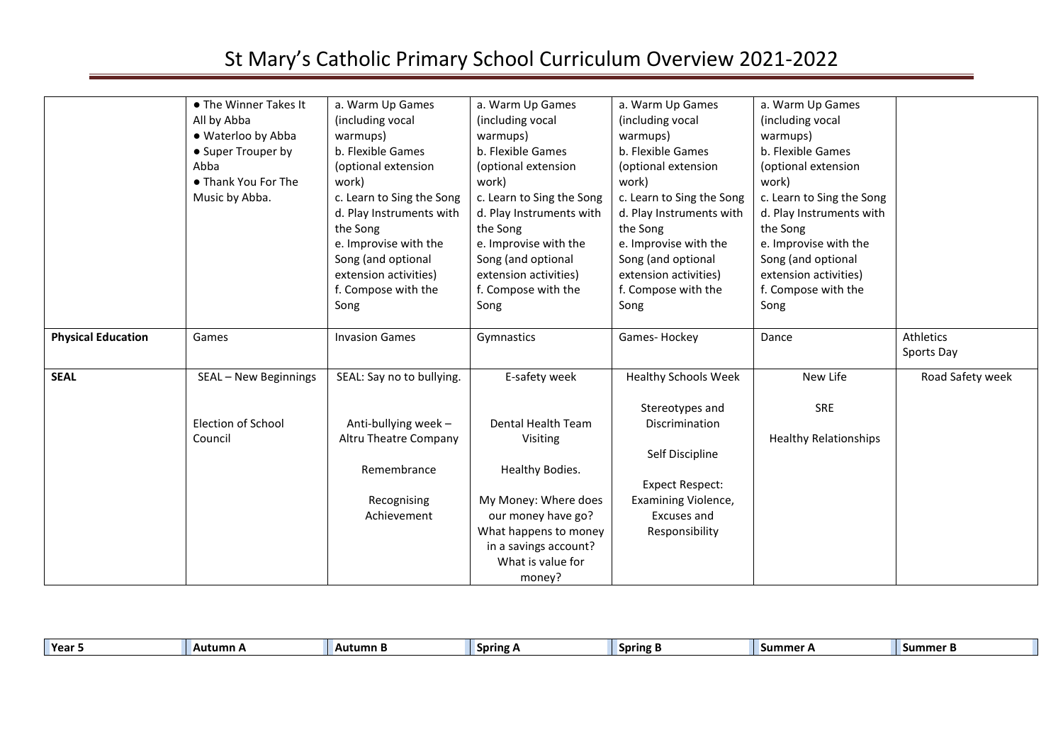|                           | • The Winner Takes It<br>All by Abba<br>· Waterloo by Abba<br>• Super Trouper by<br>Abba<br>• Thank You For The<br>Music by Abba. | a. Warm Up Games<br>(including vocal<br>warmups)<br>b. Flexible Games<br>(optional extension<br>work)<br>c. Learn to Sing the Song<br>d. Play Instruments with<br>the Song<br>e. Improvise with the<br>Song (and optional<br>extension activities)<br>f. Compose with the<br>Song | a. Warm Up Games<br>(including vocal<br>warmups)<br>b. Flexible Games<br>(optional extension<br>work)<br>c. Learn to Sing the Song<br>d. Play Instruments with<br>the Song<br>e. Improvise with the<br>Song (and optional<br>extension activities)<br>f. Compose with the<br>Song | a. Warm Up Games<br>(including vocal<br>warmups)<br>b. Flexible Games<br>(optional extension<br>work)<br>c. Learn to Sing the Song<br>d. Play Instruments with<br>the Song<br>e. Improvise with the<br>Song (and optional<br>extension activities)<br>f. Compose with the<br>Song | a. Warm Up Games<br>(including vocal<br>warmups)<br>b. Flexible Games<br>(optional extension<br>work)<br>c. Learn to Sing the Song<br>d. Play Instruments with<br>the Song<br>e. Improvise with the<br>Song (and optional<br>extension activities)<br>f. Compose with the<br>Song |                         |
|---------------------------|-----------------------------------------------------------------------------------------------------------------------------------|-----------------------------------------------------------------------------------------------------------------------------------------------------------------------------------------------------------------------------------------------------------------------------------|-----------------------------------------------------------------------------------------------------------------------------------------------------------------------------------------------------------------------------------------------------------------------------------|-----------------------------------------------------------------------------------------------------------------------------------------------------------------------------------------------------------------------------------------------------------------------------------|-----------------------------------------------------------------------------------------------------------------------------------------------------------------------------------------------------------------------------------------------------------------------------------|-------------------------|
| <b>Physical Education</b> | Games                                                                                                                             | <b>Invasion Games</b>                                                                                                                                                                                                                                                             | Gymnastics                                                                                                                                                                                                                                                                        | Games-Hockey                                                                                                                                                                                                                                                                      | Dance                                                                                                                                                                                                                                                                             | Athletics<br>Sports Day |
| <b>SEAL</b>               | SEAL - New Beginnings                                                                                                             | SEAL: Say no to bullying.                                                                                                                                                                                                                                                         | E-safety week                                                                                                                                                                                                                                                                     | <b>Healthy Schools Week</b><br>Stereotypes and                                                                                                                                                                                                                                    | New Life<br><b>SRE</b>                                                                                                                                                                                                                                                            | Road Safety week        |
|                           | <b>Election of School</b><br>Council                                                                                              | Anti-bullying week -<br>Altru Theatre Company<br>Remembrance                                                                                                                                                                                                                      | Dental Health Team<br>Visiting<br>Healthy Bodies.                                                                                                                                                                                                                                 | Discrimination<br>Self Discipline<br><b>Expect Respect:</b>                                                                                                                                                                                                                       | <b>Healthy Relationships</b>                                                                                                                                                                                                                                                      |                         |
|                           |                                                                                                                                   | Recognising<br>Achievement                                                                                                                                                                                                                                                        | My Money: Where does<br>our money have go?<br>What happens to money<br>in a savings account?<br>What is value for<br>money?                                                                                                                                                       | Examining Violence,<br>Excuses and<br>Responsibility                                                                                                                                                                                                                              |                                                                                                                                                                                                                                                                                   |                         |

| Year | Autumn A | Autumn B | <b>Spring A</b> | <b>Spring B</b> | <b>Contract Contract</b><br>ummer h | ⊸ Summer " |
|------|----------|----------|-----------------|-----------------|-------------------------------------|------------|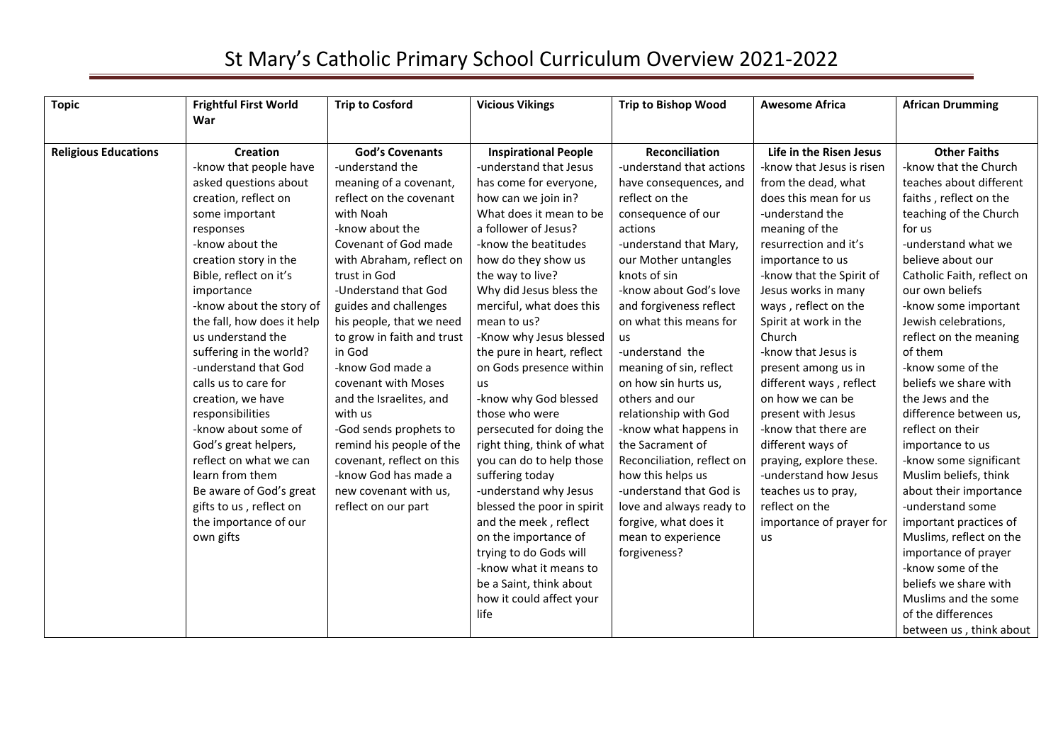| <b>Topic</b>                | <b>Frightful First World</b><br>War | <b>Trip to Cosford</b>     | <b>Vicious Vikings</b>      | <b>Trip to Bishop Wood</b> | <b>Awesome Africa</b>     | <b>African Drumming</b>    |
|-----------------------------|-------------------------------------|----------------------------|-----------------------------|----------------------------|---------------------------|----------------------------|
|                             |                                     |                            |                             |                            |                           |                            |
| <b>Religious Educations</b> | <b>Creation</b>                     | <b>God's Covenants</b>     | <b>Inspirational People</b> | <b>Reconciliation</b>      | Life in the Risen Jesus   | <b>Other Faiths</b>        |
|                             | -know that people have              | -understand the            | -understand that Jesus      | -understand that actions   | -know that Jesus is risen | -know that the Church      |
|                             | asked questions about               | meaning of a covenant,     | has come for everyone,      | have consequences, and     | from the dead, what       | teaches about different    |
|                             | creation, reflect on                | reflect on the covenant    | how can we join in?         | reflect on the             | does this mean for us     | faiths, reflect on the     |
|                             | some important                      | with Noah                  | What does it mean to be     | consequence of our         | -understand the           | teaching of the Church     |
|                             | responses                           | -know about the            | a follower of Jesus?        | actions                    | meaning of the            | for us                     |
|                             | -know about the                     | Covenant of God made       | -know the beatitudes        | -understand that Mary,     | resurrection and it's     | -understand what we        |
|                             | creation story in the               | with Abraham, reflect on   | how do they show us         | our Mother untangles       | importance to us          | believe about our          |
|                             | Bible, reflect on it's              | trust in God               | the way to live?            | knots of sin               | -know that the Spirit of  | Catholic Faith, reflect on |
|                             | importance                          | -Understand that God       | Why did Jesus bless the     | -know about God's love     | Jesus works in many       | our own beliefs            |
|                             | -know about the story of            | guides and challenges      | merciful, what does this    | and forgiveness reflect    | ways, reflect on the      | -know some important       |
|                             | the fall, how does it help          | his people, that we need   | mean to us?                 | on what this means for     | Spirit at work in the     | Jewish celebrations,       |
|                             | us understand the                   | to grow in faith and trust | -Know why Jesus blessed     | <b>us</b>                  | Church                    | reflect on the meaning     |
|                             | suffering in the world?             | in God                     | the pure in heart, reflect  | -understand the            | -know that Jesus is       | of them                    |
|                             | -understand that God                | -know God made a           | on Gods presence within     | meaning of sin, reflect    | present among us in       | -know some of the          |
|                             | calls us to care for                | covenant with Moses        | us                          | on how sin hurts us,       | different ways, reflect   | beliefs we share with      |
|                             | creation, we have                   | and the Israelites, and    | -know why God blessed       | others and our             | on how we can be          | the Jews and the           |
|                             | responsibilities                    | with us                    | those who were              | relationship with God      | present with Jesus        | difference between us,     |
|                             | -know about some of                 | -God sends prophets to     | persecuted for doing the    | -know what happens in      | -know that there are      | reflect on their           |
|                             | God's great helpers,                | remind his people of the   | right thing, think of what  | the Sacrament of           | different ways of         | importance to us           |
|                             | reflect on what we can              | covenant, reflect on this  | you can do to help those    | Reconciliation, reflect on | praying, explore these.   | -know some significant     |
|                             | learn from them                     | -know God has made a       | suffering today             | how this helps us          | -understand how Jesus     | Muslim beliefs, think      |
|                             | Be aware of God's great             | new covenant with us,      | -understand why Jesus       | -understand that God is    | teaches us to pray,       | about their importance     |
|                             | gifts to us, reflect on             | reflect on our part        | blessed the poor in spirit  | love and always ready to   | reflect on the            | -understand some           |
|                             | the importance of our               |                            | and the meek, reflect       | forgive, what does it      | importance of prayer for  | important practices of     |
|                             | own gifts                           |                            | on the importance of        | mean to experience         | us                        | Muslims, reflect on the    |
|                             |                                     |                            | trying to do Gods will      | forgiveness?               |                           | importance of prayer       |
|                             |                                     |                            | -know what it means to      |                            |                           | -know some of the          |
|                             |                                     |                            | be a Saint, think about     |                            |                           | beliefs we share with      |
|                             |                                     |                            | how it could affect your    |                            |                           | Muslims and the some       |
|                             |                                     |                            | life                        |                            |                           | of the differences         |
|                             |                                     |                            |                             |                            |                           | between us, think about    |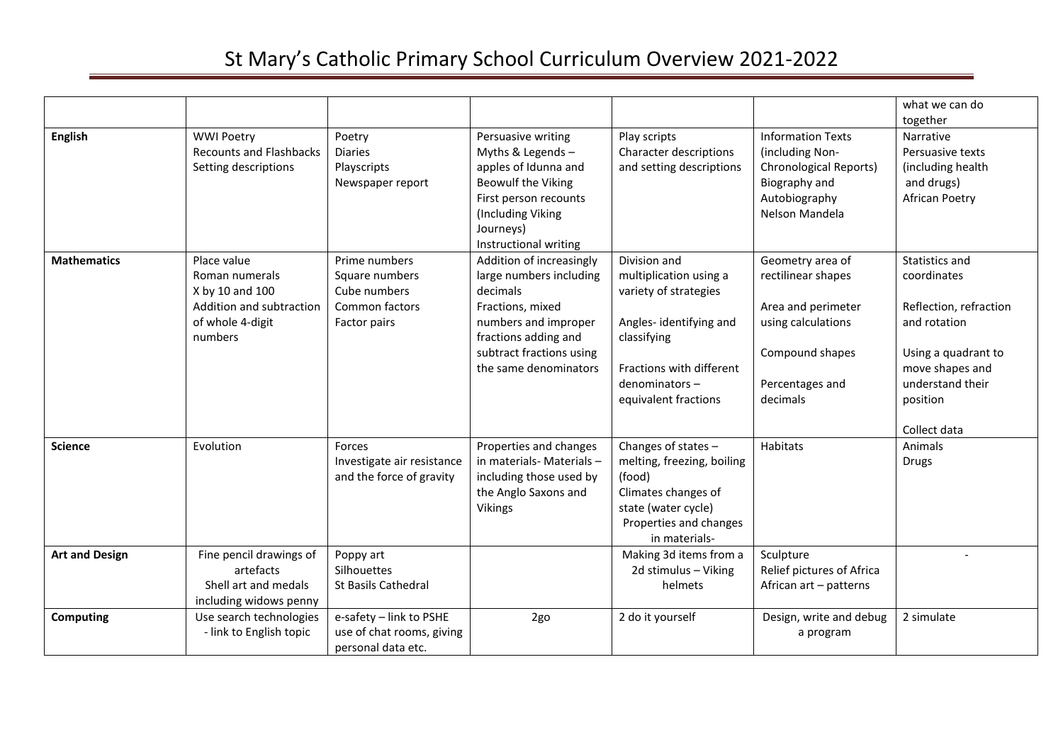|                       |                                                                                                             |                                                                                   |                                                                                                                                                                                          |                                                                                                                                                                               |                                                                                                                                      | what we can do<br>together                                                                                                                                        |
|-----------------------|-------------------------------------------------------------------------------------------------------------|-----------------------------------------------------------------------------------|------------------------------------------------------------------------------------------------------------------------------------------------------------------------------------------|-------------------------------------------------------------------------------------------------------------------------------------------------------------------------------|--------------------------------------------------------------------------------------------------------------------------------------|-------------------------------------------------------------------------------------------------------------------------------------------------------------------|
| <b>English</b>        | <b>WWI Poetry</b><br><b>Recounts and Flashbacks</b><br>Setting descriptions                                 | Poetry<br><b>Diaries</b><br>Playscripts<br>Newspaper report                       | Persuasive writing<br>Myths & Legends -<br>apples of Idunna and<br><b>Beowulf the Viking</b><br>First person recounts<br>(Including Viking<br>Journeys)<br>Instructional writing         | Play scripts<br>Character descriptions<br>and setting descriptions                                                                                                            | <b>Information Texts</b><br>(including Non-<br><b>Chronological Reports)</b><br>Biography and<br>Autobiography<br>Nelson Mandela     | Narrative<br>Persuasive texts<br>(including health<br>and drugs)<br><b>African Poetry</b>                                                                         |
| <b>Mathematics</b>    | Place value<br>Roman numerals<br>X by 10 and 100<br>Addition and subtraction<br>of whole 4-digit<br>numbers | Prime numbers<br>Square numbers<br>Cube numbers<br>Common factors<br>Factor pairs | Addition of increasingly<br>large numbers including<br>decimals<br>Fractions, mixed<br>numbers and improper<br>fractions adding and<br>subtract fractions using<br>the same denominators | Division and<br>multiplication using a<br>variety of strategies<br>Angles-identifying and<br>classifying<br>Fractions with different<br>denominators-<br>equivalent fractions | Geometry area of<br>rectilinear shapes<br>Area and perimeter<br>using calculations<br>Compound shapes<br>Percentages and<br>decimals | Statistics and<br>coordinates<br>Reflection, refraction<br>and rotation<br>Using a quadrant to<br>move shapes and<br>understand their<br>position<br>Collect data |
| <b>Science</b>        | Evolution                                                                                                   | Forces<br>Investigate air resistance<br>and the force of gravity                  | Properties and changes<br>in materials- Materials -<br>including those used by<br>the Anglo Saxons and<br>Vikings                                                                        | Changes of states -<br>melting, freezing, boiling<br>(food)<br>Climates changes of<br>state (water cycle)<br>Properties and changes<br>in materials-                          | Habitats                                                                                                                             | Animals<br>Drugs                                                                                                                                                  |
| <b>Art and Design</b> | Fine pencil drawings of<br>artefacts<br>Shell art and medals<br>including widows penny                      | Poppy art<br>Silhouettes<br><b>St Basils Cathedral</b>                            |                                                                                                                                                                                          | Making 3d items from a<br>2d stimulus - Viking<br>helmets                                                                                                                     | Sculpture<br>Relief pictures of Africa<br>African art - patterns                                                                     |                                                                                                                                                                   |
| Computing             | Use search technologies<br>- link to English topic                                                          | e-safety - link to PSHE<br>use of chat rooms, giving<br>personal data etc.        | 2go                                                                                                                                                                                      | 2 do it yourself                                                                                                                                                              | Design, write and debug<br>a program                                                                                                 | 2 simulate                                                                                                                                                        |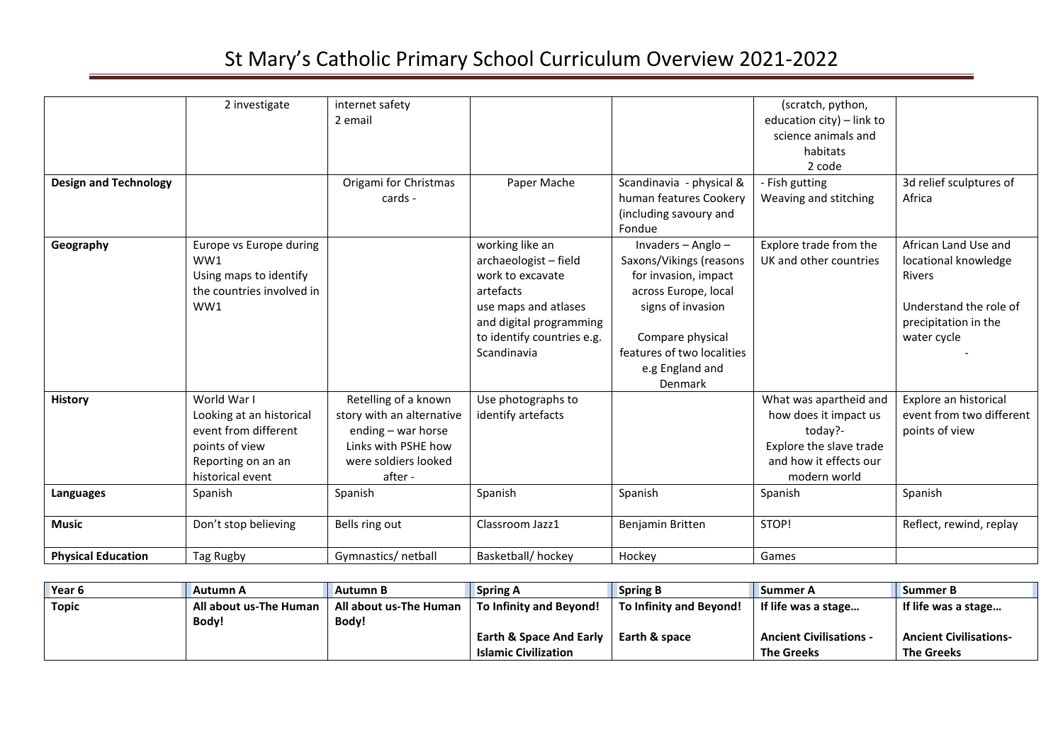| <b>Design and Technology</b> | 2 investigate                                                                                                               | internet safety<br>2 email<br>Origami for Christmas<br>cards -                                                                    | Paper Mache                                                                                                                                                               | Scandinavia - physical &<br>human features Cookery                                                                                                                                                 | (scratch, python,<br>education city) - link to<br>science animals and<br>habitats<br>2 code<br>- Fish gutting<br>Weaving and stitching | 3d relief sculptures of<br>Africa                                                                                              |
|------------------------------|-----------------------------------------------------------------------------------------------------------------------------|-----------------------------------------------------------------------------------------------------------------------------------|---------------------------------------------------------------------------------------------------------------------------------------------------------------------------|----------------------------------------------------------------------------------------------------------------------------------------------------------------------------------------------------|----------------------------------------------------------------------------------------------------------------------------------------|--------------------------------------------------------------------------------------------------------------------------------|
|                              |                                                                                                                             |                                                                                                                                   |                                                                                                                                                                           | (including savoury and<br>Fondue                                                                                                                                                                   |                                                                                                                                        |                                                                                                                                |
| Geography                    | Europe vs Europe during<br>WW1<br>Using maps to identify<br>the countries involved in<br>WW1                                |                                                                                                                                   | working like an<br>archaeologist - field<br>work to excavate<br>artefacts<br>use maps and atlases<br>and digital programming<br>to identify countries e.g.<br>Scandinavia | Invaders - Anglo -<br>Saxons/Vikings (reasons<br>for invasion, impact<br>across Europe, local<br>signs of invasion<br>Compare physical<br>features of two localities<br>e.g England and<br>Denmark | Explore trade from the<br>UK and other countries                                                                                       | African Land Use and<br>locational knowledge<br><b>Rivers</b><br>Understand the role of<br>precipitation in the<br>water cycle |
| <b>History</b>               | World War I<br>Looking at an historical<br>event from different<br>points of view<br>Reporting on an an<br>historical event | Retelling of a known<br>story with an alternative<br>ending - war horse<br>Links with PSHE how<br>were soldiers looked<br>after - | Use photographs to<br>identify artefacts                                                                                                                                  |                                                                                                                                                                                                    | What was apartheid and<br>how does it impact us<br>today?-<br>Explore the slave trade<br>and how it effects our<br>modern world        | Explore an historical<br>event from two different<br>points of view                                                            |
| Languages                    | Spanish                                                                                                                     | Spanish                                                                                                                           | Spanish                                                                                                                                                                   | Spanish                                                                                                                                                                                            | Spanish                                                                                                                                | Spanish                                                                                                                        |
| <b>Music</b>                 | Don't stop believing                                                                                                        | Bells ring out                                                                                                                    | Classroom Jazz1                                                                                                                                                           | Benjamin Britten                                                                                                                                                                                   | STOP!                                                                                                                                  | Reflect, rewind, replay                                                                                                        |
| <b>Physical Education</b>    | Tag Rugby                                                                                                                   | Gymnastics/ netball                                                                                                               | Basketball/hockey                                                                                                                                                         | Hockey                                                                                                                                                                                             | Games                                                                                                                                  |                                                                                                                                |

| Year 6 | Autumn A               | Autumn B               | <b>Spring A</b>                    | <b>Spring B</b>         | <b>Summer A</b>                | <b>Summer B</b>               |
|--------|------------------------|------------------------|------------------------------------|-------------------------|--------------------------------|-------------------------------|
| Topic  | All about us-The Human | All about us-The Human | To Infinity and Beyond!            | To Infinity and Bevond! | If life was a stage            | If life was a stage           |
|        | Body!                  | Body!                  |                                    |                         |                                |                               |
|        |                        |                        | <b>Earth &amp; Space And Early</b> | Earth & space           | <b>Ancient Civilisations -</b> | <b>Ancient Civilisations-</b> |
|        |                        |                        | <b>Islamic Civilization</b>        |                         | <b>The Greeks</b>              | <b>The Greeks</b>             |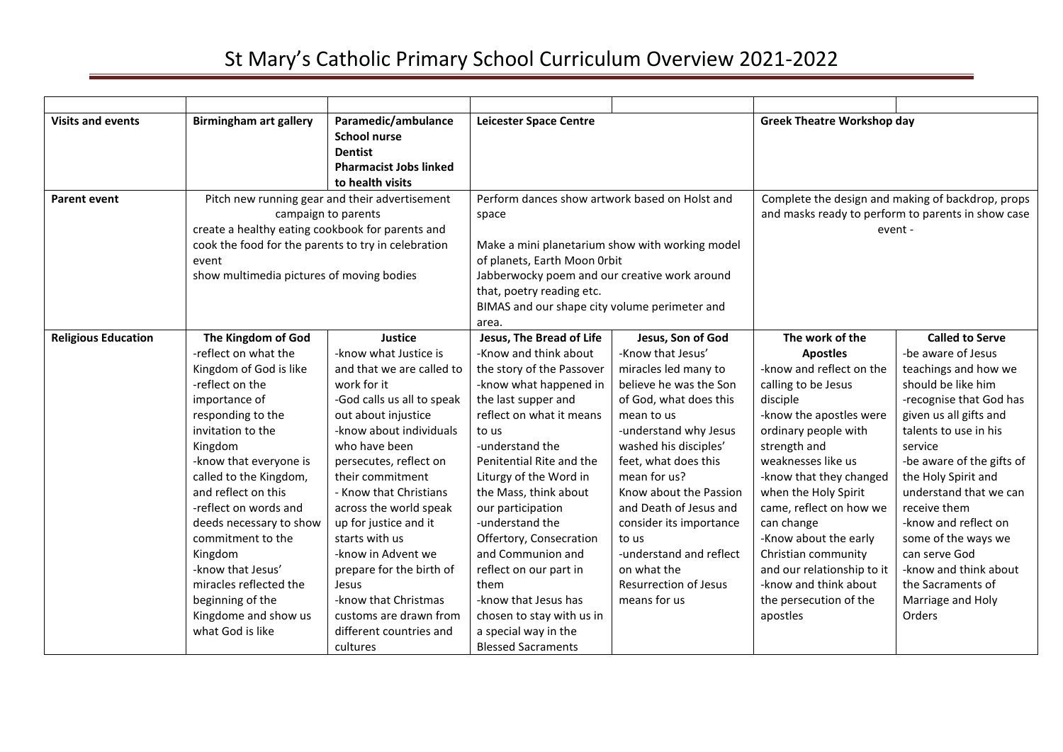| <b>Visits and events</b>   | <b>Birmingham art gallery</b>             | Paramedic/ambulance<br><b>School nurse</b><br><b>Dentist</b>                                                                                                                     | <b>Leicester Space Centre</b>                                                                                                        |                                                                                                                                            |                            | <b>Greek Theatre Workshop day</b>                                                                                  |  |
|----------------------------|-------------------------------------------|----------------------------------------------------------------------------------------------------------------------------------------------------------------------------------|--------------------------------------------------------------------------------------------------------------------------------------|--------------------------------------------------------------------------------------------------------------------------------------------|----------------------------|--------------------------------------------------------------------------------------------------------------------|--|
|                            |                                           | <b>Pharmacist Jobs linked</b><br>to health visits                                                                                                                                |                                                                                                                                      |                                                                                                                                            |                            |                                                                                                                    |  |
| <b>Parent event</b>        | event                                     | Pitch new running gear and their advertisement<br>campaign to parents<br>create a healthy eating cookbook for parents and<br>cook the food for the parents to try in celebration |                                                                                                                                      | Perform dances show artwork based on Holst and<br>space<br>Make a mini planetarium show with working model<br>of planets, Earth Moon Orbit |                            | Complete the design and making of backdrop, props<br>and masks ready to perform to parents in show case<br>event - |  |
|                            | show multimedia pictures of moving bodies |                                                                                                                                                                                  | Jabberwocky poem and our creative work around<br>that, poetry reading etc.<br>BIMAS and our shape city volume perimeter and<br>area. |                                                                                                                                            |                            |                                                                                                                    |  |
| <b>Religious Education</b> | The Kingdom of God                        | Justice                                                                                                                                                                          | Jesus, The Bread of Life                                                                                                             | Jesus, Son of God                                                                                                                          | The work of the            | <b>Called to Serve</b>                                                                                             |  |
|                            | -reflect on what the                      | -know what Justice is                                                                                                                                                            | -Know and think about                                                                                                                | -Know that Jesus'                                                                                                                          | <b>Apostles</b>            | -be aware of Jesus                                                                                                 |  |
|                            | Kingdom of God is like                    | and that we are called to                                                                                                                                                        | the story of the Passover                                                                                                            | miracles led many to                                                                                                                       | -know and reflect on the   | teachings and how we                                                                                               |  |
|                            | -reflect on the                           | work for it                                                                                                                                                                      | -know what happened in                                                                                                               | believe he was the Son                                                                                                                     | calling to be Jesus        | should be like him                                                                                                 |  |
|                            | importance of                             | -God calls us all to speak                                                                                                                                                       | the last supper and                                                                                                                  | of God, what does this                                                                                                                     | disciple                   | -recognise that God has                                                                                            |  |
|                            | responding to the                         | out about injustice                                                                                                                                                              | reflect on what it means                                                                                                             | mean to us                                                                                                                                 | -know the apostles were    | given us all gifts and                                                                                             |  |
|                            | invitation to the                         | -know about individuals                                                                                                                                                          | to us                                                                                                                                | -understand why Jesus                                                                                                                      | ordinary people with       | talents to use in his                                                                                              |  |
|                            | Kingdom                                   | who have been                                                                                                                                                                    | -understand the                                                                                                                      | washed his disciples'                                                                                                                      | strength and               | service                                                                                                            |  |
|                            | -know that everyone is                    | persecutes, reflect on                                                                                                                                                           | Penitential Rite and the                                                                                                             | feet, what does this                                                                                                                       | weaknesses like us         | -be aware of the gifts of                                                                                          |  |
|                            | called to the Kingdom,                    | their commitment                                                                                                                                                                 | Liturgy of the Word in                                                                                                               | mean for us?                                                                                                                               | -know that they changed    | the Holy Spirit and                                                                                                |  |
|                            | and reflect on this                       | - Know that Christians                                                                                                                                                           | the Mass, think about                                                                                                                | Know about the Passion                                                                                                                     | when the Holy Spirit       | understand that we can                                                                                             |  |
|                            | -reflect on words and                     | across the world speak                                                                                                                                                           | our participation                                                                                                                    | and Death of Jesus and                                                                                                                     | came, reflect on how we    | receive them                                                                                                       |  |
|                            | deeds necessary to show                   | up for justice and it                                                                                                                                                            | -understand the                                                                                                                      | consider its importance                                                                                                                    | can change                 | -know and reflect on                                                                                               |  |
|                            | commitment to the                         | starts with us                                                                                                                                                                   | Offertory, Consecration                                                                                                              | to us                                                                                                                                      | -Know about the early      | some of the ways we                                                                                                |  |
|                            | Kingdom                                   | -know in Advent we                                                                                                                                                               | and Communion and                                                                                                                    | -understand and reflect                                                                                                                    | Christian community        | can serve God                                                                                                      |  |
|                            | -know that Jesus'                         | prepare for the birth of                                                                                                                                                         | reflect on our part in                                                                                                               | on what the                                                                                                                                | and our relationship to it | -know and think about                                                                                              |  |
|                            | miracles reflected the                    | Jesus                                                                                                                                                                            | them                                                                                                                                 | <b>Resurrection of Jesus</b>                                                                                                               | -know and think about      | the Sacraments of                                                                                                  |  |
|                            | beginning of the                          | -know that Christmas                                                                                                                                                             | -know that Jesus has                                                                                                                 | means for us                                                                                                                               | the persecution of the     | Marriage and Holy                                                                                                  |  |
|                            | Kingdome and show us                      | customs are drawn from                                                                                                                                                           | chosen to stay with us in                                                                                                            |                                                                                                                                            | apostles                   | Orders                                                                                                             |  |
|                            | what God is like                          | different countries and                                                                                                                                                          | a special way in the                                                                                                                 |                                                                                                                                            |                            |                                                                                                                    |  |
|                            |                                           | cultures                                                                                                                                                                         | <b>Blessed Sacraments</b>                                                                                                            |                                                                                                                                            |                            |                                                                                                                    |  |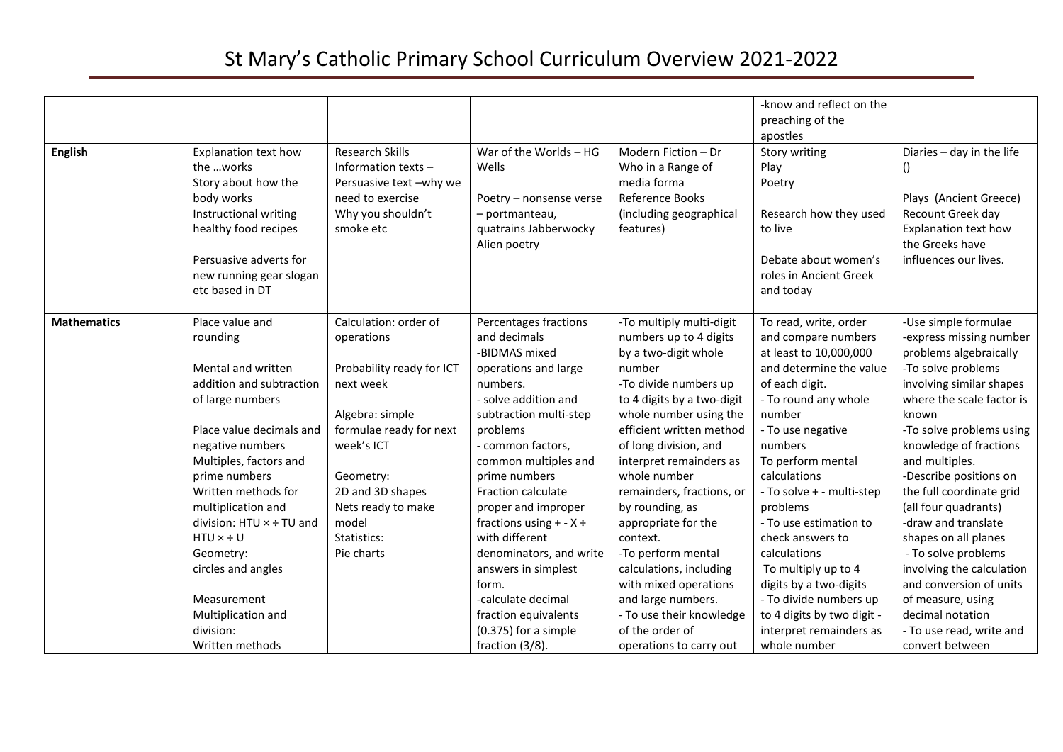| <b>English</b>     | Explanation text how<br>the works<br>Story about how the<br>body works<br>Instructional writing<br>healthy food recipes<br>Persuasive adverts for<br>new running gear slogan<br>etc based in DT                                                                                                                                                                                                   | <b>Research Skills</b><br>Information texts -<br>Persuasive text -why we<br>need to exercise<br>Why you shouldn't<br>smoke etc                                                                                                         | War of the Worlds - HG<br>Wells<br>Poetry - nonsense verse<br>- portmanteau,<br>quatrains Jabberwocky<br>Alien poetry                                                                                                                                                                                                                                                                                                                                                       | Modern Fiction - Dr<br>Who in a Range of<br>media forma<br>Reference Books<br>(including geographical<br>features)                                                                                                                                                                                                                                                                                                                                                                                                                 | -know and reflect on the<br>preaching of the<br>apostles<br>Story writing<br>Play<br>Poetry<br>Research how they used<br>to live<br>Debate about women's<br>roles in Ancient Greek<br>and today                                                                                                                                                                                                                                                                                       | Diaries - day in the life<br>$\left( \right)$<br>Plays (Ancient Greece)<br>Recount Greek day<br>Explanation text how<br>the Greeks have<br>influences our lives.                                                                                                                                                                                                                                                                                                                                                                              |
|--------------------|---------------------------------------------------------------------------------------------------------------------------------------------------------------------------------------------------------------------------------------------------------------------------------------------------------------------------------------------------------------------------------------------------|----------------------------------------------------------------------------------------------------------------------------------------------------------------------------------------------------------------------------------------|-----------------------------------------------------------------------------------------------------------------------------------------------------------------------------------------------------------------------------------------------------------------------------------------------------------------------------------------------------------------------------------------------------------------------------------------------------------------------------|------------------------------------------------------------------------------------------------------------------------------------------------------------------------------------------------------------------------------------------------------------------------------------------------------------------------------------------------------------------------------------------------------------------------------------------------------------------------------------------------------------------------------------|---------------------------------------------------------------------------------------------------------------------------------------------------------------------------------------------------------------------------------------------------------------------------------------------------------------------------------------------------------------------------------------------------------------------------------------------------------------------------------------|-----------------------------------------------------------------------------------------------------------------------------------------------------------------------------------------------------------------------------------------------------------------------------------------------------------------------------------------------------------------------------------------------------------------------------------------------------------------------------------------------------------------------------------------------|
| <b>Mathematics</b> | Place value and<br>rounding<br>Mental and written<br>addition and subtraction<br>of large numbers<br>Place value decimals and<br>negative numbers<br>Multiples, factors and<br>prime numbers<br>Written methods for<br>multiplication and<br>division: HTU × ÷ TU and<br>$HTU \times ÷ U$<br>Geometry:<br>circles and angles<br>Measurement<br>Multiplication and<br>division:<br>Written methods | Calculation: order of<br>operations<br>Probability ready for ICT<br>next week<br>Algebra: simple<br>formulae ready for next<br>week's ICT<br>Geometry:<br>2D and 3D shapes<br>Nets ready to make<br>model<br>Statistics:<br>Pie charts | Percentages fractions<br>and decimals<br>-BIDMAS mixed<br>operations and large<br>numbers.<br>- solve addition and<br>subtraction multi-step<br>problems<br>- common factors,<br>common multiples and<br>prime numbers<br>Fraction calculate<br>proper and improper<br>fractions using $+ - X \div$<br>with different<br>denominators, and write<br>answers in simplest<br>form.<br>-calculate decimal<br>fraction equivalents<br>$(0.375)$ for a simple<br>fraction (3/8). | -To multiply multi-digit<br>numbers up to 4 digits<br>by a two-digit whole<br>number<br>-To divide numbers up<br>to 4 digits by a two-digit<br>whole number using the<br>efficient written method<br>of long division, and<br>interpret remainders as<br>whole number<br>remainders, fractions, or<br>by rounding, as<br>appropriate for the<br>context.<br>-To perform mental<br>calculations, including<br>with mixed operations<br>and large numbers.<br>- To use their knowledge<br>of the order of<br>operations to carry out | To read, write, order<br>and compare numbers<br>at least to 10,000,000<br>and determine the value<br>of each digit.<br>- To round any whole<br>number<br>- To use negative<br>numbers<br>To perform mental<br>calculations<br>- To solve + - multi-step<br>problems<br>- To use estimation to<br>check answers to<br>calculations<br>To multiply up to 4<br>digits by a two-digits<br>- To divide numbers up<br>to 4 digits by two digit -<br>interpret remainders as<br>whole number | -Use simple formulae<br>-express missing number<br>problems algebraically<br>-To solve problems<br>involving similar shapes<br>where the scale factor is<br>known<br>-To solve problems using<br>knowledge of fractions<br>and multiples.<br>-Describe positions on<br>the full coordinate grid<br>(all four quadrants)<br>-draw and translate<br>shapes on all planes<br>- To solve problems<br>involving the calculation<br>and conversion of units<br>of measure, using<br>decimal notation<br>- To use read, write and<br>convert between |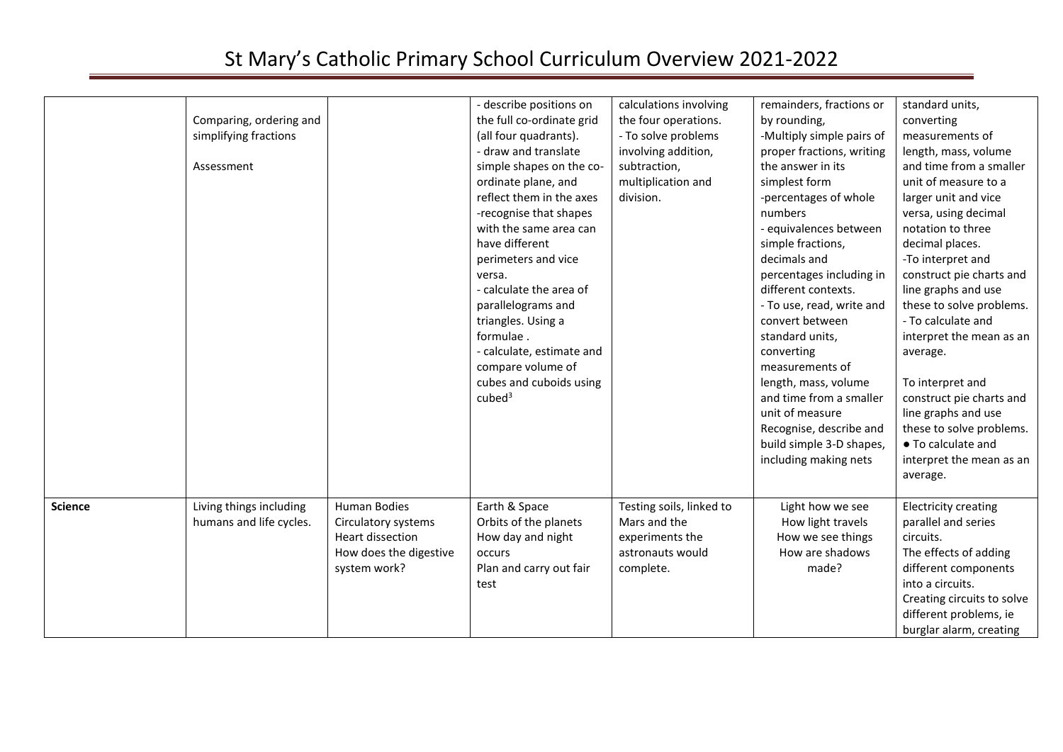|                | Comparing, ordering and<br>simplifying fractions<br>Assessment |                                                                                                   | - describe positions on<br>the full co-ordinate grid<br>(all four quadrants).<br>- draw and translate<br>simple shapes on the co-<br>ordinate plane, and<br>reflect them in the axes<br>-recognise that shapes<br>with the same area can<br>have different<br>perimeters and vice<br>versa.<br>- calculate the area of<br>parallelograms and<br>triangles. Using a<br>formulae.<br>- calculate, estimate and<br>compare volume of<br>cubes and cuboids using<br>cube <sup>3</sup> | calculations involving<br>the four operations.<br>- To solve problems<br>involving addition,<br>subtraction,<br>multiplication and<br>division. | remainders, fractions or<br>by rounding,<br>-Multiply simple pairs of<br>proper fractions, writing<br>the answer in its<br>simplest form<br>-percentages of whole<br>numbers<br>- equivalences between<br>simple fractions,<br>decimals and<br>percentages including in<br>different contexts.<br>- To use, read, write and<br>convert between<br>standard units,<br>converting<br>measurements of<br>length, mass, volume<br>and time from a smaller<br>unit of measure<br>Recognise, describe and<br>build simple 3-D shapes,<br>including making nets | standard units,<br>converting<br>measurements of<br>length, mass, volume<br>and time from a smaller<br>unit of measure to a<br>larger unit and vice<br>versa, using decimal<br>notation to three<br>decimal places.<br>-To interpret and<br>construct pie charts and<br>line graphs and use<br>these to solve problems.<br>- To calculate and<br>interpret the mean as an<br>average.<br>To interpret and<br>construct pie charts and<br>line graphs and use<br>these to solve problems.<br>• To calculate and<br>interpret the mean as an<br>average. |
|----------------|----------------------------------------------------------------|---------------------------------------------------------------------------------------------------|-----------------------------------------------------------------------------------------------------------------------------------------------------------------------------------------------------------------------------------------------------------------------------------------------------------------------------------------------------------------------------------------------------------------------------------------------------------------------------------|-------------------------------------------------------------------------------------------------------------------------------------------------|----------------------------------------------------------------------------------------------------------------------------------------------------------------------------------------------------------------------------------------------------------------------------------------------------------------------------------------------------------------------------------------------------------------------------------------------------------------------------------------------------------------------------------------------------------|--------------------------------------------------------------------------------------------------------------------------------------------------------------------------------------------------------------------------------------------------------------------------------------------------------------------------------------------------------------------------------------------------------------------------------------------------------------------------------------------------------------------------------------------------------|
| <b>Science</b> | Living things including<br>humans and life cycles.             | Human Bodies<br>Circulatory systems<br>Heart dissection<br>How does the digestive<br>system work? | Earth & Space<br>Orbits of the planets<br>How day and night<br>occurs<br>Plan and carry out fair<br>test                                                                                                                                                                                                                                                                                                                                                                          | Testing soils, linked to<br>Mars and the<br>experiments the<br>astronauts would<br>complete.                                                    | Light how we see<br>How light travels<br>How we see things<br>How are shadows<br>made?                                                                                                                                                                                                                                                                                                                                                                                                                                                                   | <b>Electricity creating</b><br>parallel and series<br>circuits.<br>The effects of adding<br>different components<br>into a circuits.<br>Creating circuits to solve<br>different problems, ie<br>burglar alarm, creating                                                                                                                                                                                                                                                                                                                                |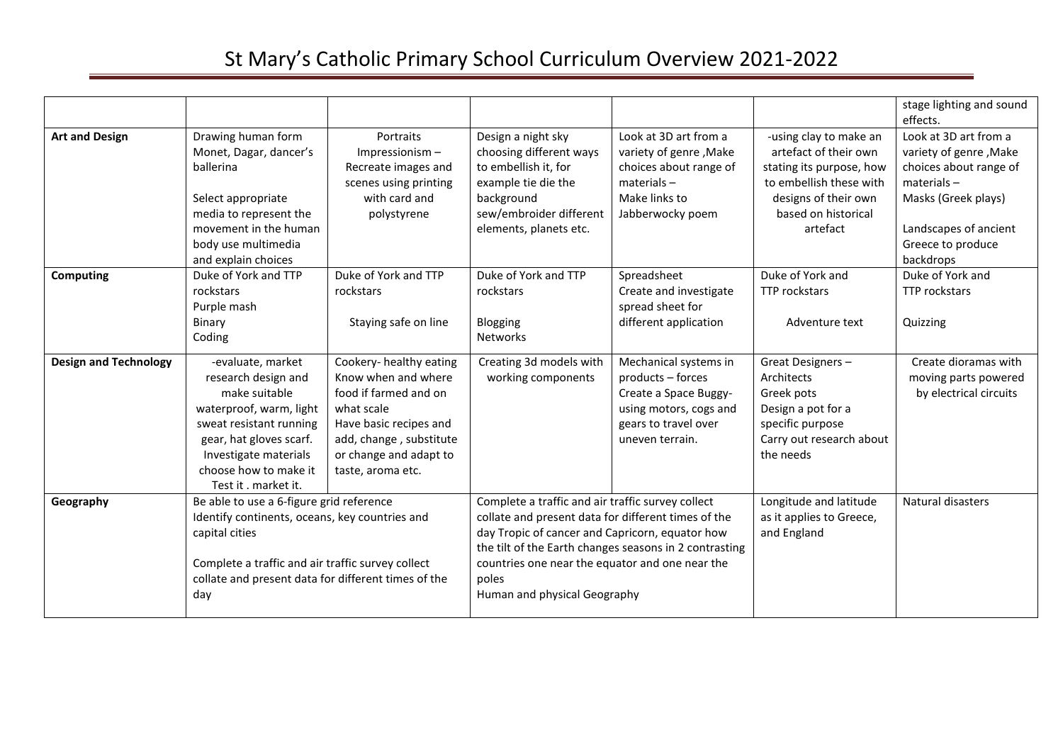|                              |                                                                                                                                                                                                                                 |                                                                                                                                                                                           |                                                                                                                                                                                                                                                                                                                   |                                                                                                                                          |                                                                                                                                                                   | stage lighting and sound<br>effects.                                                                                                                                         |
|------------------------------|---------------------------------------------------------------------------------------------------------------------------------------------------------------------------------------------------------------------------------|-------------------------------------------------------------------------------------------------------------------------------------------------------------------------------------------|-------------------------------------------------------------------------------------------------------------------------------------------------------------------------------------------------------------------------------------------------------------------------------------------------------------------|------------------------------------------------------------------------------------------------------------------------------------------|-------------------------------------------------------------------------------------------------------------------------------------------------------------------|------------------------------------------------------------------------------------------------------------------------------------------------------------------------------|
| <b>Art and Design</b>        | Drawing human form<br>Monet, Dagar, dancer's<br>ballerina<br>Select appropriate<br>media to represent the<br>movement in the human<br>body use multimedia<br>and explain choices                                                | Portraits<br>Impressionism-<br>Recreate images and<br>scenes using printing<br>with card and<br>polystyrene                                                                               | Design a night sky<br>choosing different ways<br>to embellish it, for<br>example tie die the<br>background<br>sew/embroider different<br>elements, planets etc.                                                                                                                                                   | Look at 3D art from a<br>variety of genre, Make<br>choices about range of<br>$materials -$<br>Make links to<br>Jabberwocky poem          | -using clay to make an<br>artefact of their own<br>stating its purpose, how<br>to embellish these with<br>designs of their own<br>based on historical<br>artefact | Look at 3D art from a<br>variety of genre, Make<br>choices about range of<br>$materials -$<br>Masks (Greek plays)<br>Landscapes of ancient<br>Greece to produce<br>backdrops |
| <b>Computing</b>             | Duke of York and TTP<br>rockstars<br>Purple mash<br>Binary<br>Coding                                                                                                                                                            | Duke of York and TTP<br>rockstars<br>Staying safe on line                                                                                                                                 | Duke of York and TTP<br>rockstars<br>Blogging<br>Networks                                                                                                                                                                                                                                                         | Spreadsheet<br>Create and investigate<br>spread sheet for<br>different application                                                       | Duke of York and<br>TTP rockstars<br>Adventure text                                                                                                               | Duke of York and<br><b>TTP</b> rockstars<br>Quizzing                                                                                                                         |
| <b>Design and Technology</b> | -evaluate, market<br>research design and<br>make suitable<br>waterproof, warm, light<br>sweat resistant running<br>gear, hat gloves scarf.<br>Investigate materials<br>choose how to make it<br>Test it . market it.            | Cookery- healthy eating<br>Know when and where<br>food if farmed and on<br>what scale<br>Have basic recipes and<br>add, change, substitute<br>or change and adapt to<br>taste, aroma etc. | Creating 3d models with<br>working components                                                                                                                                                                                                                                                                     | Mechanical systems in<br>products - forces<br>Create a Space Buggy-<br>using motors, cogs and<br>gears to travel over<br>uneven terrain. | Great Designers-<br>Architects<br>Greek pots<br>Design a pot for a<br>specific purpose<br>Carry out research about<br>the needs                                   | Create dioramas with<br>moving parts powered<br>by electrical circuits                                                                                                       |
| Geography                    | Be able to use a 6-figure grid reference<br>Identify continents, oceans, key countries and<br>capital cities<br>Complete a traffic and air traffic survey collect<br>collate and present data for different times of the<br>day |                                                                                                                                                                                           | Complete a traffic and air traffic survey collect<br>collate and present data for different times of the<br>day Tropic of cancer and Capricorn, equator how<br>the tilt of the Earth changes seasons in 2 contrasting<br>countries one near the equator and one near the<br>poles<br>Human and physical Geography |                                                                                                                                          | Longitude and latitude<br>as it applies to Greece,<br>and England                                                                                                 | Natural disasters                                                                                                                                                            |